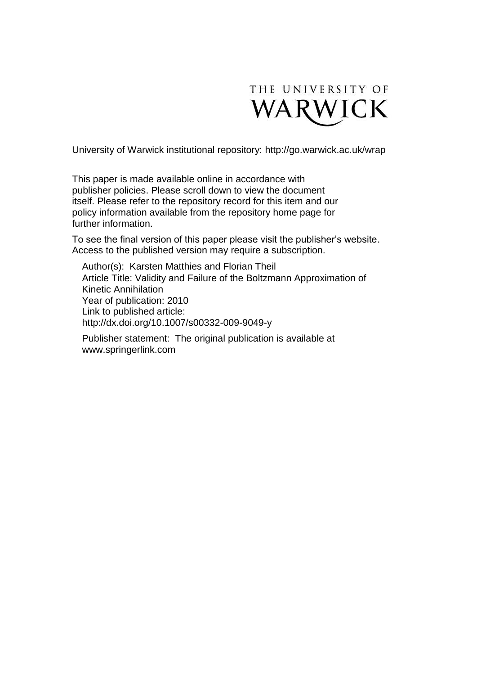

University of Warwick institutional repository:<http://go.warwick.ac.uk/wrap>

This paper is made available online in accordance with publisher policies. Please scroll down to view the document itself. Please refer to the repository record for this item and our policy information available from the repository home page for further information.

To see the final version of this paper please visit the publisher's website. Access to the published version may require a subscription.

Author(s): Karsten Matthies and Florian Theil Article Title: Validity and Failure of the Boltzmann Approximation of Kinetic Annihilation Year of publication: 2010 Link to published article: http://dx.doi.org/10.1007/s00332-009-9049-y

Publisher statement: The original publication is available at www.springerlink.com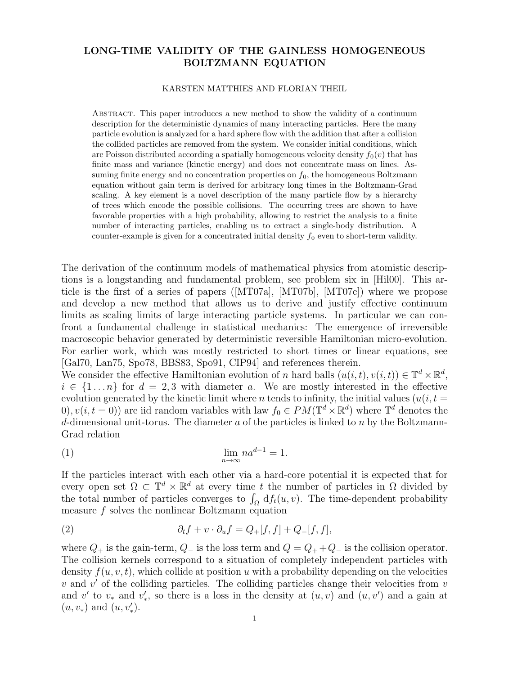# LONG-TIME VALIDITY OF THE GAINLESS HOMOGENEOUS BOLTZMANN EQUATION

#### KARSTEN MATTHIES AND FLORIAN THEIL

Abstract. This paper introduces a new method to show the validity of a continuum description for the deterministic dynamics of many interacting particles. Here the many particle evolution is analyzed for a hard sphere flow with the addition that after a collision the collided particles are removed from the system. We consider initial conditions, which are Poisson distributed according a spatially homogeneous velocity density  $f_0(v)$  that has finite mass and variance (kinetic energy) and does not concentrate mass on lines. Assuming finite energy and no concentration properties on  $f_0$ , the homogeneous Boltzmann equation without gain term is derived for arbitrary long times in the Boltzmann-Grad scaling. A key element is a novel description of the many particle flow by a hierarchy of trees which encode the possible collisions. The occurring trees are shown to have favorable properties with a high probability, allowing to restrict the analysis to a finite number of interacting particles, enabling us to extract a single-body distribution. A counter-example is given for a concentrated initial density  $f_0$  even to short-term validity.

The derivation of the continuum models of mathematical physics from atomistic descriptions is a longstanding and fundamental problem, see problem six in [Hil00]. This article is the first of a series of papers ([MT07a], [MT07b], [MT07c]) where we propose and develop a new method that allows us to derive and justify effective continuum limits as scaling limits of large interacting particle systems. In particular we can confront a fundamental challenge in statistical mechanics: The emergence of irreversible macroscopic behavior generated by deterministic reversible Hamiltonian micro-evolution. For earlier work, which was mostly restricted to short times or linear equations, see [Gal70, Lan75, Spo78, BBS83, Spo91, CIP94] and references therein.

We consider the effective Hamiltonian evolution of n hard balls  $(u(i, t), v(i, t)) \in \mathbb{T}^d \times \mathbb{R}^d$ ,  $i \in \{1 \dots n\}$  for  $d = 2, 3$  with diameter a. We are mostly interested in the effective evolution generated by the kinetic limit where n tends to infinity, the initial values  $(u(i, t =$ 0,  $v(i, t = 0)$  are iid random variables with law  $f_0 \in PM(\mathbb{T}^d \times \mathbb{R}^d)$  where  $\mathbb{T}^d$  denotes the d-dimensional unit-torus. The diameter  $a$  of the particles is linked to  $n$  by the Boltzmann-Grad relation

$$
\lim_{n \to \infty} n a^{d-1} = 1.
$$

If the particles interact with each other via a hard-core potential it is expected that for every open set  $\Omega \subset \mathbb{T}^d \times \mathbb{R}^d$  at every time t the number of particles in  $\Omega$  divided by the total number of particles converges to  $\int_{\Omega} df_t(u, v)$ . The time-dependent probability measure f solves the nonlinear Boltzmann equation

(2) 
$$
\partial_t f + v \cdot \partial_u f = Q_+[f,f] + Q_-[f,f],
$$

where  $Q_+$  is the gain-term,  $Q_-$  is the loss term and  $Q = Q_+ + Q_-$  is the collision operator. The collision kernels correspond to a situation of completely independent particles with density  $f(u, v, t)$ , which collide at position u with a probability depending on the velocities  $v$  and  $v'$  of the colliding particles. The colliding particles change their velocities from  $v$ and v' to  $v_*$  and  $v'_*,$  so there is a loss in the density at  $(u, v)$  and  $(u, v')$  and a gain at  $(u, v_*)$  and  $(u, v'_*)$ .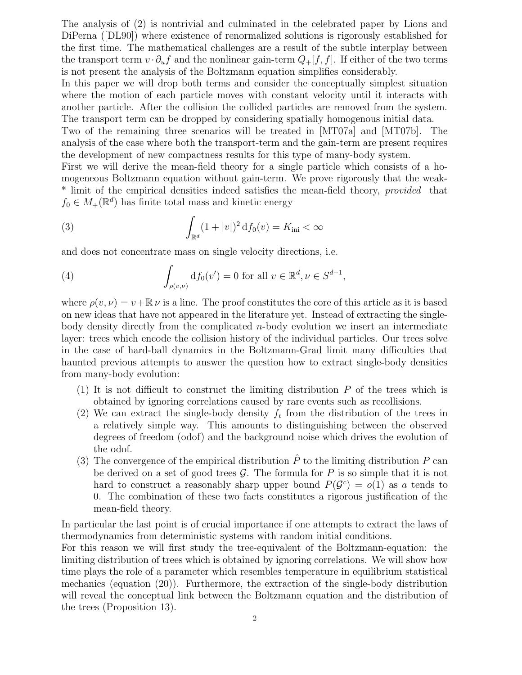The analysis of (2) is nontrivial and culminated in the celebrated paper by Lions and DiPerna ([DL90]) where existence of renormalized solutions is rigorously established for the first time. The mathematical challenges are a result of the subtle interplay between the transport term  $v \cdot \partial_u f$  and the nonlinear gain-term  $Q_+[f, f]$ . If either of the two terms is not present the analysis of the Boltzmann equation simplifies considerably.

In this paper we will drop both terms and consider the conceptually simplest situation where the motion of each particle moves with constant velocity until it interacts with another particle. After the collision the collided particles are removed from the system. The transport term can be dropped by considering spatially homogenous initial data.

Two of the remaining three scenarios will be treated in [MT07a] and [MT07b]. The analysis of the case where both the transport-term and the gain-term are present requires the development of new compactness results for this type of many-body system.

First we will derive the mean-field theory for a single particle which consists of a homogeneous Boltzmann equation without gain-term. We prove rigorously that the weak- \* limit of the empirical densities indeed satisfies the mean-field theory, *provided* that  $f_0 \in M_+(\mathbb{R}^d)$  has finite total mass and kinetic energy

(3) 
$$
\int_{\mathbb{R}^d} (1+|v|)^2 d f_0(v) = K_{\text{ini}} < \infty
$$

and does not concentrate mass on single velocity directions, i.e.

(4) 
$$
\int_{\rho(v,\nu)} df_0(v') = 0 \text{ for all } v \in \mathbb{R}^d, \nu \in S^{d-1},
$$

where  $\rho(v, v) = v + \mathbb{R} v$  is a line. The proof constitutes the core of this article as it is based on new ideas that have not appeared in the literature yet. Instead of extracting the singlebody density directly from the complicated  $n$ -body evolution we insert an intermediate layer: trees which encode the collision history of the individual particles. Our trees solve in the case of hard-ball dynamics in the Boltzmann-Grad limit many difficulties that haunted previous attempts to answer the question how to extract single-body densities from many-body evolution:

- (1) It is not difficult to construct the limiting distribution  $P$  of the trees which is obtained by ignoring correlations caused by rare events such as recollisions.
- (2) We can extract the single-body density  $f_t$  from the distribution of the trees in a relatively simple way. This amounts to distinguishing between the observed degrees of freedom (odof) and the background noise which drives the evolution of the odof.
- (3) The convergence of the empirical distribution  $\hat{P}$  to the limiting distribution P can be derived on a set of good trees  $\mathcal G$ . The formula for P is so simple that it is not hard to construct a reasonably sharp upper bound  $P(G<sup>c</sup>) = o(1)$  as a tends to 0. The combination of these two facts constitutes a rigorous justification of the mean-field theory.

In particular the last point is of crucial importance if one attempts to extract the laws of thermodynamics from deterministic systems with random initial conditions.

For this reason we will first study the tree-equivalent of the Boltzmann-equation: the limiting distribution of trees which is obtained by ignoring correlations. We will show how time plays the role of a parameter which resembles temperature in equilibrium statistical mechanics (equation (20)). Furthermore, the extraction of the single-body distribution will reveal the conceptual link between the Boltzmann equation and the distribution of the trees (Proposition 13).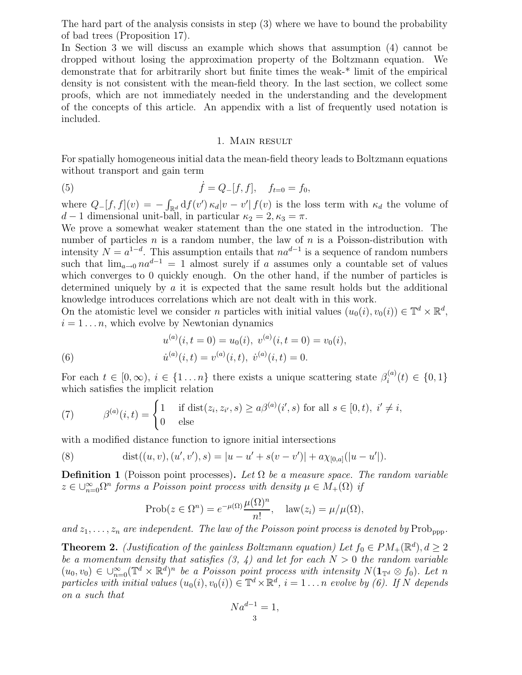The hard part of the analysis consists in step (3) where we have to bound the probability of bad trees (Proposition 17).

In Section 3 we will discuss an example which shows that assumption (4) cannot be dropped without losing the approximation property of the Boltzmann equation. We demonstrate that for arbitrarily short but finite times the weak-\* limit of the empirical density is not consistent with the mean-field theory. In the last section, we collect some proofs, which are not immediately needed in the understanding and the development of the concepts of this article. An appendix with a list of frequently used notation is included.

#### 1. Main result

For spatially homogeneous initial data the mean-field theory leads to Boltzmann equations without transport and gain term

(5) 
$$
\dot{f} = Q_{-}[f, f], \quad f_{t=0} = f_0,
$$

where  $Q_{-}[f, f](v) = -\int_{\mathbb{R}^d} df(v') \kappa_d |v - v'| f(v)$  is the loss term with  $\kappa_d$  the volume of  $d-1$  dimensional unit-ball, in particular  $\kappa_2 = 2, \kappa_3 = \pi$ .

We prove a somewhat weaker statement than the one stated in the introduction. The number of particles n is a random number, the law of n is a Poisson-distribution with intensity  $N = a^{1-d}$ . This assumption entails that  $na^{d-1}$  is a sequence of random numbers such that  $\lim_{a\to 0} na^{d-1} = 1$  almost surely if a assumes only a countable set of values which converges to 0 quickly enough. On the other hand, if the number of particles is determined uniquely by a it is expected that the same result holds but the additional knowledge introduces correlations which are not dealt with in this work.

On the atomistic level we consider n particles with initial values  $(u_0(i), v_0(i)) \in \mathbb{T}^d \times \mathbb{R}^d$ ,  $i = 1 \dots n$ , which evolve by Newtonian dynamics

(6) 
$$
u^{(a)}(i,t=0) = u_0(i), \ v^{(a)}(i,t=0) = v_0(i),
$$

$$
\dot{u}^{(a)}(i,t) = v^{(a)}(i,t), \ \dot{v}^{(a)}(i,t) = 0.
$$

For each  $t \in [0, \infty)$ ,  $i \in \{1 \dots n\}$  there exists a unique scattering state  $\beta_i^{(a)}$  $\lambda_i^{(a)}(t) \in \{0,1\}$ which satisfies the implicit relation

(7) 
$$
\beta^{(a)}(i,t) = \begin{cases} 1 & \text{if } \text{dist}(z_i, z_{i'}, s) \ge a\beta^{(a)}(i', s) \text{ for all } s \in [0, t), i' \ne i, \\ 0 & \text{else} \end{cases}
$$

with a modified distance function to ignore initial intersections

(8) 
$$
\text{dist}((u, v), (u', v'), s) = |u - u' + s(v - v')| + a\chi_{[0,a]}(|u - u'|).
$$

**Definition 1** (Poisson point processes). Let  $\Omega$  be a measure space. The random variable  $z \in \bigcup_{n=0}^{\infty} \Omega^n$  forms a Poisson point process with density  $\mu \in M_+(\Omega)$  if

$$
\text{Prob}(z \in \Omega^n) = e^{-\mu(\Omega)} \frac{\mu(\Omega)^n}{n!}, \quad \text{law}(z_i) = \mu/\mu(\Omega),
$$

and  $z_1, \ldots, z_n$  are independent. The law of the Poisson point process is denoted by Prob<sub>ppp</sub>.

**Theorem 2.** (Justification of the gainless Boltzmann equation) Let  $f_0 \in PM_+(\mathbb{R}^d)$ ,  $d \geq 2$ be a momentum density that satisfies  $(3, 4)$  and let for each  $N > 0$  the random variable  $(u_0, v_0) \in \bigcup_{n=0}^{\infty} (\mathbb{T}^d \times \mathbb{R}^d)^n$  be a Poisson point process with intensity  $N(\mathbf{1}_{\mathbb{T}^d} \otimes f_0)$ . Let n particles with initial values  $(u_0(i), v_0(i)) \in \mathbb{T}^d \times \mathbb{R}^d$ ,  $i = 1...n$  evolve by (6). If N depends on a such that

$$
Na^{d-1} = 1,
$$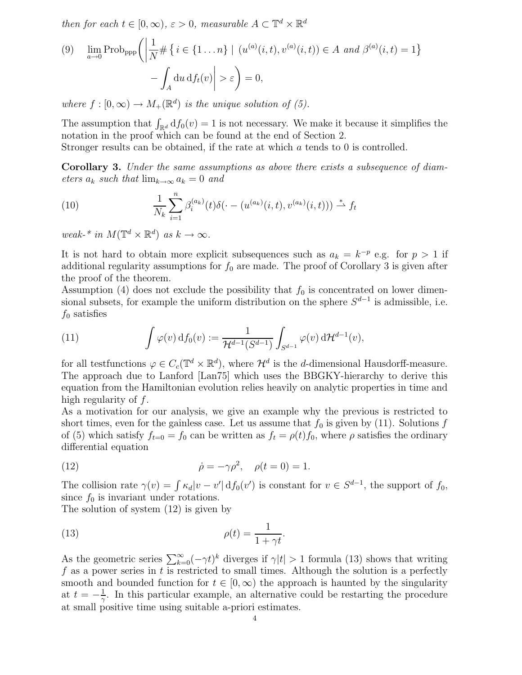then for each  $t \in [0, \infty)$ ,  $\varepsilon > 0$ , measurable  $A \subset \mathbb{T}^d \times \mathbb{R}^d$ 

(9) 
$$
\lim_{a \to 0} \text{Prob}_{\text{app}} \left( \left| \frac{1}{N} \# \left\{ i \in \{1 \dots n\} \mid (u^{(a)}(i, t), v^{(a)}(i, t)) \in A \text{ and } \beta^{(a)}(i, t) = 1 \right\} - \int_A du \, df_t(v) \right| > \varepsilon \right) = 0,
$$

where  $f : [0, \infty) \to M_+(\mathbb{R}^d)$  is the unique solution of (5).

The assumption that  $\int_{\mathbb{R}^d} df_0(v) = 1$  is not necessary. We make it because it simplifies the notation in the proof which can be found at the end of Section 2.

Stronger results can be obtained, if the rate at which a tends to 0 is controlled.

Corollary 3. Under the same assumptions as above there exists a subsequence of diameters  $a_k$  such that  $\lim_{k\to\infty} a_k = 0$  and

(10) 
$$
\frac{1}{N_k} \sum_{i=1}^n \beta_i^{(a_k)}(t) \delta(\cdot - (u^{(a_k)}(i,t), v^{(a_k)}(i,t))) \stackrel{*}{\rightharpoonup} f_t
$$

weak-\* in  $M(\mathbb{T}^d \times \mathbb{R}^d)$  as  $k \to \infty$ .

It is not hard to obtain more explicit subsequences such as  $a_k = k^{-p}$  e.g. for  $p > 1$  if additional regularity assumptions for  $f_0$  are made. The proof of Corollary 3 is given after the proof of the theorem.

Assumption (4) does not exclude the possibility that  $f_0$  is concentrated on lower dimensional subsets, for example the uniform distribution on the sphere  $S^{d-1}$  is admissible, i.e.  $f_0$  satisfies

(11) 
$$
\int \varphi(v) df_0(v) := \frac{1}{\mathcal{H}^{d-1}(S^{d-1})} \int_{S^{d-1}} \varphi(v) d\mathcal{H}^{d-1}(v),
$$

for all testfunctions  $\varphi \in C_c(\mathbb{T}^d \times \mathbb{R}^d)$ , where  $\mathcal{H}^d$  is the d-dimensional Hausdorff-measure. The approach due to Lanford [Lan75] which uses the BBGKY-hierarchy to derive this equation from the Hamiltonian evolution relies heavily on analytic properties in time and high regularity of f.

As a motivation for our analysis, we give an example why the previous is restricted to short times, even for the gainless case. Let us assume that  $f_0$  is given by (11). Solutions f of (5) which satisfy  $f_{t=0} = f_0$  can be written as  $f_t = \rho(t) f_0$ , where  $\rho$  satisfies the ordinary differential equation

(12) 
$$
\dot{\rho} = -\gamma \rho^2, \quad \rho(t = 0) = 1.
$$

The collision rate  $\gamma(v) = \int \kappa_d |v - v'| \, df_0(v')$  is constant for  $v \in S^{d-1}$ , the support of  $f_0$ , since  $f_0$  is invariant under rotations.

The solution of system (12) is given by

(13) 
$$
\rho(t) = \frac{1}{1 + \gamma t}.
$$

As the geometric series  $\sum_{k=0}^{\infty}(-\gamma t)^k$  diverges if  $\gamma|t| > 1$  formula (13) shows that writing f as a power series in t is restricted to small times. Although the solution is a perfectly smooth and bounded function for  $t \in [0,\infty)$  the approach is haunted by the singularity at  $t = -\frac{1}{\gamma}$  $\frac{1}{\gamma}$ . In this particular example, an alternative could be restarting the procedure at small positive time using suitable a-priori estimates.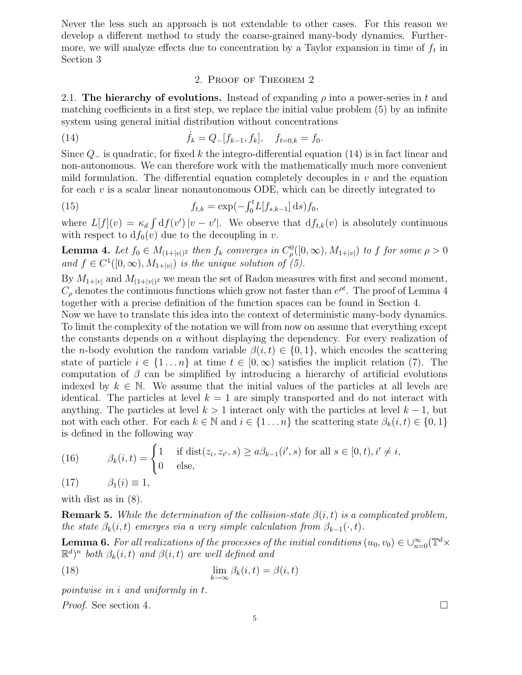Never the less such an approach is not extendable to other cases. For this reason we develop a different method to study the coarse-grained many-body dynamics. Furthermore, we will analyze effects due to concentration by a Taylor expansion in time of  $f_t$  in Section 3

#### 2. Proof of Theorem 2

2.1. The hierarchy of evolutions. Instead of expanding  $\rho$  into a power-series in t and matching coefficients in a first step, we replace the initial value problem (5) by an infinite system using general initial distribution without concentrations

(14) 
$$
\dot{f}_k = Q_{-}[f_{k-1}, f_k], \quad f_{t=0,k} = f_0.
$$

Since  $Q_-\$  is quadratic, for fixed k the integro-differential equation (14) is in fact linear and non-autonomous. We can therefore work with the mathematically much more convenient mild formulation. The differential equation completely decouples in  $v$  and the equation for each  $v$  is a scalar linear nonautonomous ODE, which can be directly integrated to

(15) 
$$
f_{t,k} = \exp(-\int_0^t L[f_{s,k-1}] ds) f_0,
$$

where  $L[f](v) = \kappa_d \int df(v') |v - v'|$ . We observe that  $df_{t,k}(v)$  is absolutely continuous with respect to  $df_0(v)$  due to the decoupling in v.

**Lemma 4.** Let  $f_0 \in M_{(1+|v|)^2}$  then  $f_k$  converges in  $C^0_\rho([0,\infty), M_{1+|v|})$  to f for some  $\rho > 0$ and  $f \in C^1([0,\infty), M_{1+|v|})$  is the unique solution of (5).

By  $M_{1+|v|}$  and  $M_{(1+|v|)^2}$  we mean the set of Radon measures with first and second moment,  $C_{\rho}$  denotes the continuous functions which grow not faster than  $e^{\rho t}$ . The proof of Lemma 4 together with a precise definition of the function spaces can be found in Section 4.

Now we have to translate this idea into the context of deterministic many-body dynamics. To limit the complexity of the notation we will from now on assume that everything except the constants depends on a without displaying the dependency. For every realization of the *n*-body evolution the random variable  $\beta(i, t) \in \{0, 1\}$ , which encodes the scattering state of particle  $i \in \{1 \dots n\}$  at time  $t \in [0,\infty)$  satisfies the implicit relation (7). The computation of  $\beta$  can be simplified by introducing a hierarchy of artificial evolutions indexed by  $k \in \mathbb{N}$ . We assume that the initial values of the particles at all levels are identical. The particles at level  $k = 1$  are simply transported and do not interact with anything. The particles at level  $k > 1$  interact only with the particles at level  $k - 1$ , but not with each other. For each  $k \in \mathbb{N}$  and  $i \in \{1 \dots n\}$  the scattering state  $\beta_k(i, t) \in \{0, 1\}$ is defined in the following way

(16) 
$$
\beta_k(i,t) = \begin{cases} 1 & \text{if } \text{dist}(z_i, z_{i'}, s) \ge a\beta_{k-1}(i', s) \text{ for all } s \in [0, t), i' \ne i, \\ 0 & \text{else,} \end{cases}
$$

(17)  $\beta_1(i) \equiv 1$ ,

with dist as in (8).

**Remark 5.** While the determination of the collision-state  $\beta(i, t)$  is a complicated problem, the state  $\beta_k(i,t)$  emerges via a very simple calculation from  $\beta_{k-1}(\cdot,t)$ .

**Lemma 6.** For all realizations of the processes of the initial conditions  $(u_0, v_0) \in \bigcup_{n=0}^{\infty} (\mathbb{T}^d \times$  $(\mathbb{R}^d)^n$  both  $\beta_k(i,t)$  and  $\beta(i,t)$  are well defined and

(18) 
$$
\lim_{k \to \infty} \beta_k(i, t) = \beta(i, t)
$$

pointwise in i and uniformly in t.

Proof. See section 4.

$$
\qquad \qquad \Box
$$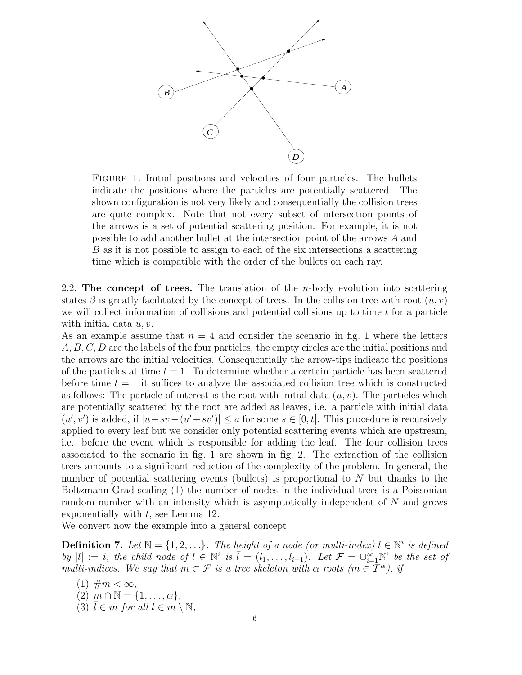

Figure 1. Initial positions and velocities of four particles. The bullets indicate the positions where the particles are potentially scattered. The shown configuration is not very likely and consequentially the collision trees are quite complex. Note that not every subset of intersection points of the arrows is a set of potential scattering position. For example, it is not possible to add another bullet at the intersection point of the arrows A and B as it is not possible to assign to each of the six intersections a scattering time which is compatible with the order of the bullets on each ray.

2.2. The concept of trees. The translation of the *n*-body evolution into scattering states  $\beta$  is greatly facilitated by the concept of trees. In the collision tree with root  $(u, v)$ we will collect information of collisions and potential collisions up to time t for a particle with initial data  $u, v$ .

As an example assume that  $n = 4$  and consider the scenario in fig. 1 where the letters A, B, C, D are the labels of the four particles, the empty circles are the initial positions and the arrows are the initial velocities. Consequentially the arrow-tips indicate the positions of the particles at time  $t = 1$ . To determine whether a certain particle has been scattered before time  $t = 1$  it suffices to analyze the associated collision tree which is constructed as follows: The particle of interest is the root with initial data  $(u, v)$ . The particles which are potentially scattered by the root are added as leaves, i.e. a particle with initial data  $(u', v')$  is added, if  $|u + sv - (u' + sv')| \le a$  for some  $s \in [0, t]$ . This procedure is recursively applied to every leaf but we consider only potential scattering events which are upstream, i.e. before the event which is responsible for adding the leaf. The four collision trees associated to the scenario in fig. 1 are shown in fig. 2. The extraction of the collision trees amounts to a significant reduction of the complexity of the problem. In general, the number of potential scattering events (bullets) is proportional to N but thanks to the Boltzmann-Grad-scaling (1) the number of nodes in the individual trees is a Poissonian random number with an intensity which is asymptotically independent of N and grows exponentially with  $t$ , see Lemma 12.

We convert now the example into a general concept.

**Definition 7.** Let  $\mathbb{N} = \{1, 2, ...\}$ . The height of a node (or multi-index)  $l \in \mathbb{N}^i$  is defined by  $|l| := i$ , the child node of  $l \in \mathbb{N}^i$  is  $\overline{l} = (l_1, \ldots, l_{i-1})$ . Let  $\mathcal{F} = \bigcup_{i=1}^{\infty} \mathbb{N}^i$  be the set of multi-indices. We say that  $m \subset \mathcal{F}$  is a tree skeleton with  $\alpha$  roots  $(m \in \mathcal{T}^{\alpha})$ , if

(1)  $\#m < \infty$ ,  $(2)$   $m \cap \mathbb{N} = \{1, \ldots, \alpha\},\$ (3)  $\overline{l} \in m$  for all  $l \in m \setminus \mathbb{N}$ ,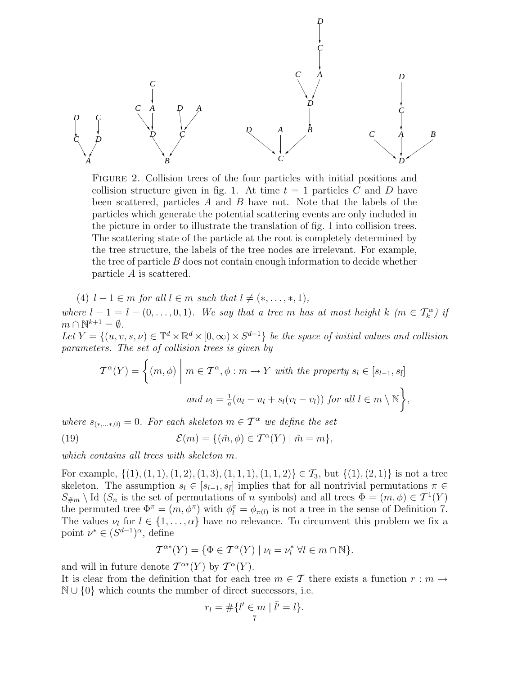*D A D A C B D C A C D D C B C D C C D D C A B C A D A C*

Figure 2. Collision trees of the four particles with initial positions and collision structure given in fig. 1. At time  $t = 1$  particles C and D have been scattered, particles A and B have not. Note that the labels of the particles which generate the potential scattering events are only included in the picture in order to illustrate the translation of fig. 1 into collision trees. The scattering state of the particle at the root is completely determined by the tree structure, the labels of the tree nodes are irrelevant. For example, the tree of particle  $B$  does not contain enough information to decide whether particle A is scattered.

(4)  $l - 1 \in m$  for all  $l \in m$  such that  $l \neq (*, \ldots, *, 1)$ , where  $l-1 = l - (0, \ldots, 0, 1)$ . We say that a tree m has at most height k (m  $\in \mathcal{T}_k^{\alpha}$ ) if  $m \cap \mathbb{N}^{k+1} = \emptyset.$ Let  $Y = \{(u, v, s, \nu) \in \mathbb{T}^d \times \mathbb{R}^d \times [0, \infty) \times S^{d-1}\}\$ be the space of initial values and collision

parameters. The set of collision trees is given by

$$
\mathcal{T}^{\alpha}(Y) = \left\{ (m, \phi) \mid m \in \mathcal{T}^{\alpha}, \phi : m \to Y \text{ with the property } s_l \in [s_{l-1}, s_{\bar{l}}] \right\}
$$
  
and  $\nu_l = \frac{1}{a} (u_{\bar{l}} - u_l + s_l (v_{\bar{l}} - v_l))$  for all  $l \in m \setminus \mathbb{N} \right\},\$ 

where  $s_{(*, \ldots*, 0)} = 0$ . For each skeleton  $m \in \mathcal{T}^{\alpha}$  we define the set

(19) 
$$
\mathcal{E}(m) = \{(\tilde{m}, \phi) \in \mathcal{T}^{\alpha}(Y) \mid \tilde{m} = m\},
$$

which contains all trees with skeleton m.

For example,  $\{(1), (1, 1), (1, 2), (1, 3), (1, 1, 1), (1, 1, 2)\}\in \mathcal{T}_3$ , but  $\{(1), (2, 1)\}$  is not a tree skeleton. The assumption  $s_l \in [s_{l-1}, s_{\bar{l}}]$  implies that for all nontrivial permutations  $\pi \in$  $S_{\#m} \setminus \text{Id}(S_n)$  is the set of permutations of n symbols) and all trees  $\Phi = (m, \phi) \in \mathcal{T}^1(Y)$ the permuted tree  $\Phi^{\pi} = (m, \phi^{\pi})$  with  $\phi^{\pi}_{l} = \phi_{\pi(l)}$  is not a tree in the sense of Definition 7. The values  $\nu_l$  for  $l \in \{1, \ldots, \alpha\}$  have no relevance. To circumvent this problem we fix a point  $\nu^* \in (S^{d-1})^{\alpha}$ , define

$$
T^{\alpha*}(Y) = \{ \Phi \in T^{\alpha}(Y) \mid \nu_l = \nu_l^* \ \forall l \in m \cap \mathbb{N} \}.
$$

and will in future denote  $\mathcal{T}^{\alpha*}(Y)$  by  $\mathcal{T}^{\alpha}(Y)$ .

It is clear from the definition that for each tree  $m \in \mathcal{T}$  there exists a function  $r : m \to$  $\mathbb{N} \cup \{0\}$  which counts the number of direct successors, i.e.

$$
r_l = \#\{l' \in m \mid \bar{l'} = l\}.
$$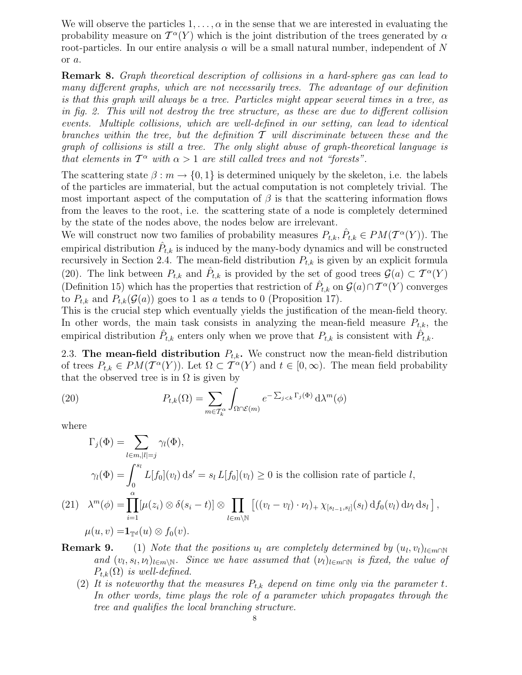We will observe the particles  $1, \ldots, \alpha$  in the sense that we are interested in evaluating the probability measure on  $\mathcal{T}^{\alpha}(Y)$  which is the joint distribution of the trees generated by  $\alpha$ root-particles. In our entire analysis  $\alpha$  will be a small natural number, independent of N or a.

Remark 8. Graph theoretical description of collisions in a hard-sphere gas can lead to many different graphs, which are not necessarily trees. The advantage of our definition is that this graph will always be a tree. Particles might appear several times in a tree, as in fig. 2. This will not destroy the tree structure, as these are due to different collision events. Multiple collisions, which are well-defined in our setting, can lead to identical branches within the tree, but the definition  $\mathcal T$  will discriminate between these and the graph of collisions is still a tree. The only slight abuse of graph-theoretical language is that elements in  $T^{\alpha}$  with  $\alpha > 1$  are still called trees and not "forests".

The scattering state  $\beta : m \to \{0, 1\}$  is determined uniquely by the skeleton, i.e. the labels of the particles are immaterial, but the actual computation is not completely trivial. The most important aspect of the computation of  $\beta$  is that the scattering information flows from the leaves to the root, i.e. the scattering state of a node is completely determined by the state of the nodes above, the nodes below are irrelevant.

We will construct now two families of probability measures  $P_{t,k}, \hat{P}_{t,k} \in PM(\mathcal{T}^{\alpha}(Y)).$  The empirical distribution  $\hat{P}_{t,k}$  is induced by the many-body dynamics and will be constructed recursively in Section 2.4. The mean-field distribution  $P_{t,k}$  is given by an explicit formula (20). The link between  $P_{t,k}$  and  $\hat{P}_{t,k}$  is provided by the set of good trees  $\mathcal{G}(a) \subset \mathcal{T}^{\alpha}(Y)$ (Definition 15) which has the properties that restriction of  $\hat{P}_{t,k}$  on  $\mathcal{G}(a) \cap \mathcal{T}^{\alpha}(Y)$  converges to  $P_{t,k}$  and  $P_{t,k}(\mathcal{G}(a))$  goes to 1 as a tends to 0 (Proposition 17).

This is the crucial step which eventually yields the justification of the mean-field theory. In other words, the main task consists in analyzing the mean-field measure  $P_{t,k}$ , the empirical distribution  $\hat{P}_{t,k}$  enters only when we prove that  $P_{t,k}$  is consistent with  $\hat{P}_{t,k}$ .

2.3. The mean-field distribution  $P_{t,k}$ . We construct now the mean-field distribution of trees  $P_{t,k} \in PM(\mathcal{T}^{\alpha}(Y))$ . Let  $\Omega \subset \mathcal{T}^{\alpha}(Y)$  and  $t \in [0,\infty)$ . The mean field probability that the observed tree is in  $\Omega$  is given by

(20) 
$$
P_{t,k}(\Omega) = \sum_{m \in \mathcal{T}_k^{\alpha}} \int_{\Omega \cap \mathcal{E}(m)} e^{-\sum_{j < k} \Gamma_j(\Phi)} d\lambda^m(\phi)
$$

where

$$
\Gamma_j(\Phi) = \sum_{l \in m, |l|=j} \gamma_l(\Phi),
$$
  
\n
$$
\gamma_l(\Phi) = \int_0^{s_l} L[f_0](v_l) \, ds' = s_l L[f_0](v_l) \ge 0 \text{ is the collision rate of particle } l,
$$
  
\n(21) 
$$
\lambda^m(\phi) = \prod_{i=1}^{\alpha} [\mu(z_i) \otimes \delta(s_i - t)] \otimes \prod_{l \in m \backslash \mathbb{N}} [((v_l - v_{\bar{l}}) \cdot \nu_l)_+ \chi_{[s_{l-1}, s_{\bar{l}}]}(s_l) \, df_0(v_l) \, dv_l \, ds_l],
$$
  
\n
$$
\mu(u, v) = \mathbf{1}_{\mathbb{T}^d}(u) \otimes f_0(v).
$$

- **Remark 9.** (1) Note that the positions u<sub>l</sub> are completely determined by  $(u_l, v_l)_{l \in m \cap N}$ and  $(v_l, s_l, \nu_l)_{l \in m \setminus N}$ . Since we have assumed that  $(\nu_l)_{l \in m \cap N}$  is fixed, the value of  $P_{t,k}(\Omega)$  is well-defined.
	- (2) It is noteworthy that the measures  $P_{t,k}$  depend on time only via the parameter t. In other words, time plays the role of a parameter which propagates through the tree and qualifies the local branching structure.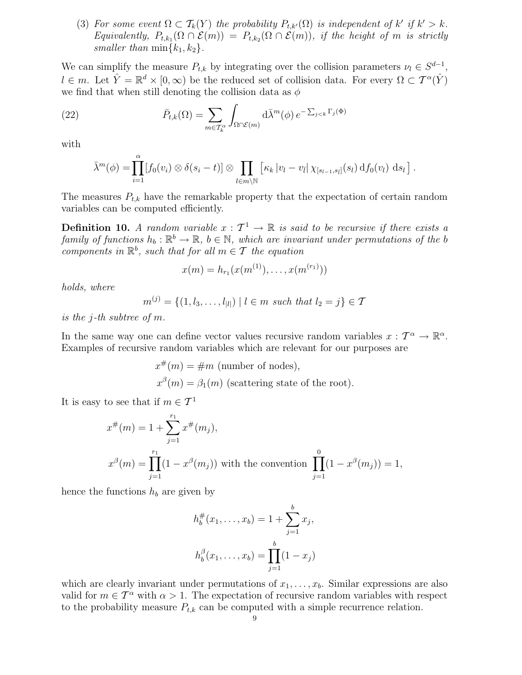(3) For some event  $\Omega \subset \mathcal{T}_k(Y)$  the probability  $P_{t,k'}(\Omega)$  is independent of k' if  $k' > k$ . Equivalently,  $P_{t,k_1}(\Omega \cap \mathcal{E}(m)) = P_{t,k_2}(\Omega \cap \mathcal{E}(m))$ , if the height of m is strictly smaller than  $\min\{k_1, k_2\}$ .

We can simplify the measure  $P_{t,k}$  by integrating over the collision parameters  $\nu_l \in S^{d-1}$ ,  $l \in m$ . Let  $\hat{Y} = \mathbb{R}^d \times [0, \infty)$  be the reduced set of collision data. For every  $\Omega \subset \mathcal{T}^{\alpha}(\hat{Y})$ we find that when still denoting the collision data as  $\phi$ 

(22) 
$$
\bar{P}_{t,k}(\Omega) = \sum_{m \in \mathcal{T}_k^{\alpha}} \int_{\Omega \cap \mathcal{E}(m)} d\bar{\lambda}^m(\phi) e^{-\sum_{j < k} \Gamma_j(\Phi)}
$$

with

$$
\bar{\lambda}^m(\phi) = \prod_{i=1}^{\alpha} [f_0(v_i) \otimes \delta(s_i - t)] \otimes \prod_{l \in m \backslash \mathbb{N}} [\kappa_k |v_l - v_{\bar{l}}| \chi_{[s_{l-1}, s_{\bar{l}}]}(s_l) \, \mathrm{d} f_0(v_l) \, \mathrm{d} s_l].
$$

The measures  $P_{t,k}$  have the remarkable property that the expectation of certain random variables can be computed efficiently.

**Definition 10.** A random variable  $x : \mathcal{T}^1 \to \mathbb{R}$  is said to be recursive if there exists a family of functions  $h_b: \mathbb{R}^b \to \mathbb{R}$ ,  $b \in \mathbb{N}$ , which are invariant under permutations of the b components in  $\mathbb{R}^b$ , such that for all  $m \in \mathcal{T}$  the equation

$$
x(m) = h_{r_1}(x(m^{(1)}), \ldots, x(m^{(r_1)}))
$$

holds, where

$$
m^{(j)} = \{(1, l_3, \dots, l_{|l|}) \mid l \in m \text{ such that } l_2 = j\} \in \mathcal{I}
$$

is the j-th subtree of m.

In the same way one can define vector values recursive random variables  $x: \mathcal{T}^{\alpha} \to \mathbb{R}^{\alpha}$ . Examples of recursive random variables which are relevant for our purposes are

$$
x^{\#}(m) = \#m
$$
 (number of nodes),  

$$
x^{\beta}(m) = \beta_1(m)
$$
 (scattering state of the root).

It is easy to see that if  $m \in \mathcal{T}^1$ 

$$
x^{\#}(m) = 1 + \sum_{j=1}^{r_1} x^{\#}(m_j),
$$
  

$$
x^{\beta}(m) = \prod_{j=1}^{r_1} (1 - x^{\beta}(m_j))
$$
 with the convention 
$$
\prod_{j=1}^{0} (1 - x^{\beta}(m_j)) = 1,
$$

hence the functions  $h_b$  are given by

$$
h_b^{\#}(x_1, \dots, x_b) = 1 + \sum_{j=1}^b x_j,
$$
  

$$
h_b^{\beta}(x_1, \dots, x_b) = \prod_{j=1}^b (1 - x_j)
$$

which are clearly invariant under permutations of  $x_1, \ldots, x_b$ . Similar expressions are also valid for  $m \in \mathcal{T}^{\alpha}$  with  $\alpha > 1$ . The expectation of recursive random variables with respect to the probability measure  $P_{t,k}$  can be computed with a simple recurrence relation.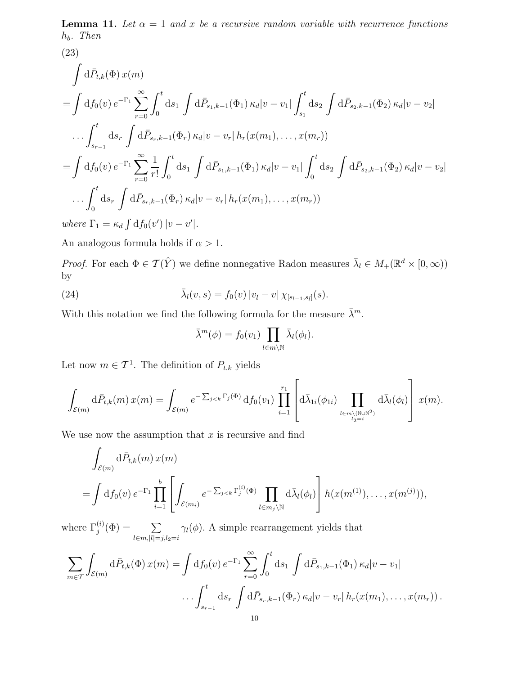**Lemma 11.** Let  $\alpha = 1$  and x be a recursive random variable with recurrence functions  $h_b$ . Then

(23)  
\n
$$
\int d\bar{P}_{t,k}(\Phi) x(m)
$$
\n
$$
= \int d f_0(v) e^{-\Gamma_1} \sum_{r=0}^{\infty} \int_0^t ds_1 \int d\bar{P}_{s_1,k-1}(\Phi_1) \kappa_d |v-v_1| \int_{s_1}^t ds_2 \int d\bar{P}_{s_2,k-1}(\Phi_2) \kappa_d |v-v_2|
$$
\n
$$
\dots \int_{s_{r-1}}^t ds_r \int d\bar{P}_{s_r,k-1}(\Phi_r) \kappa_d |v-v_r| h_r(x(m_1), \dots, x(m_r))
$$
\n
$$
= \int d f_0(v) e^{-\Gamma_1} \sum_{r=0}^{\infty} \frac{1}{r!} \int_0^t ds_1 \int d\bar{P}_{s_1,k-1}(\Phi_1) \kappa_d |v-v_1| \int_0^t ds_2 \int d\bar{P}_{s_2,k-1}(\Phi_2) \kappa_d |v-v_2|
$$
\n
$$
\dots \int_0^t ds_r \int d\bar{P}_{s_r,k-1}(\Phi_r) \kappa_d |v-v_r| h_r(x(m_1), \dots, x(m_r))
$$
\nwhere  $\Gamma_1 = \kappa_d \int d f_0(v') |v-v'|.$ 

An analogous formula holds if  $\alpha > 1$ .

*Proof.* For each  $\Phi \in \mathcal{T}(\hat{Y})$  we define nonnegative Radon measures  $\bar{\lambda}_l \in M_+(\mathbb{R}^d \times [0,\infty))$ by

(24) 
$$
\bar{\lambda}_l(v,s) = f_0(v) |v_{\bar{l}} - v| \chi_{[s_{l-1},s_{\bar{l}}]}(s).
$$

With this notation we find the following formula for the measure  $\bar{\lambda}^m$ .

$$
\bar{\lambda}^m(\phi) = f_0(v_1) \prod_{l \in m \backslash \mathbb{N}} \bar{\lambda}_l(\phi_l).
$$

Let now  $m \in \mathcal{T}^1$ . The definition of  $P_{t,k}$  yields

$$
\int_{\mathcal{E}(m)} d\bar{P}_{t,k}(m) x(m) = \int_{\mathcal{E}(m)} e^{-\sum_{j < k} \Gamma_j(\Phi)} df_0(v_1) \prod_{i=1}^{r_1} \left[ d\bar{\lambda}_{1i}(\phi_{1i}) \prod_{\underset{l_2=i}{l \in m \setminus (\mathbb{N} \cup \mathbb{N}^2)}} d\bar{\lambda}_{l}(\phi_{l}) \right] x(m).
$$

We use now the assumption that  $x$  is recursive and find

$$
\int_{\mathcal{E}(m)} d\bar{P}_{t,k}(m) x(m)
$$
\n
$$
= \int df_0(v) e^{-\Gamma_1} \prod_{i=1}^b \left[ \int_{\mathcal{E}(m_i)} e^{-\sum_{j < k} \Gamma_j^{(i)}(\Phi)} \prod_{l \in m_j \backslash \mathbb{N}} d\bar{\lambda}_l(\phi_l) \right] h(x(m^{(1)}), \dots, x(m^{(j)})),
$$

where  $\Gamma_i^{(i)}$  $j^{(i)}(\Phi) = \quad \quad \sum$  $l \in m, |l|=j, l_2=i$  $\gamma_l(\phi)$ . A simple rearrangement yields that

$$
\sum_{m \in \mathcal{T}} \int_{\mathcal{E}(m)} d\bar{P}_{t,k}(\Phi) x(m) = \int df_0(v) e^{-\Gamma_1} \sum_{r=0}^{\infty} \int_0^t ds_1 \int d\bar{P}_{s_1,k-1}(\Phi_1) \kappa_d |v-v_1|
$$
  
 
$$
\dots \int_{s_{r-1}}^t ds_r \int d\bar{P}_{s_r,k-1}(\Phi_r) \kappa_d |v-v_r| h_r(x(m_1), \dots, x(m_r)).
$$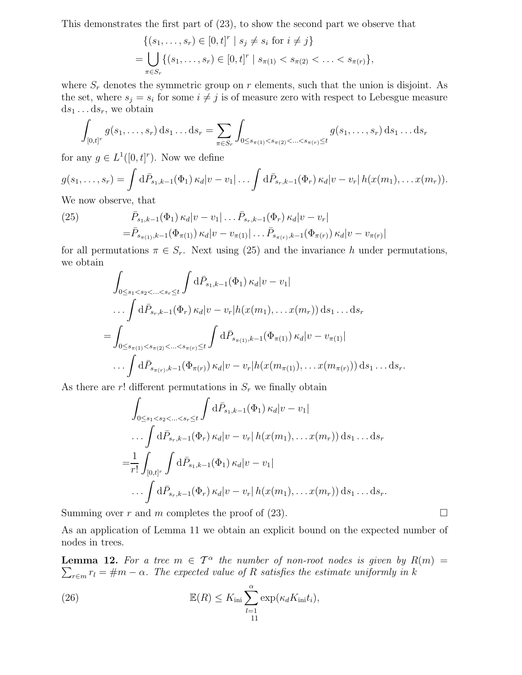This demonstrates the first part of (23), to show the second part we observe that

$$
\{(s_1, \ldots, s_r) \in [0, t]^r \mid s_j \neq s_i \text{ for } i \neq j\}
$$
  
= 
$$
\bigcup_{\pi \in S_r} \{(s_1, \ldots, s_r) \in [0, t]^r \mid s_{\pi(1)} < s_{\pi(2)} < \ldots < s_{\pi(r)}\},\
$$

where  $S_r$  denotes the symmetric group on r elements, such that the union is disjoint. As the set, where  $s_j = s_i$  for some  $i \neq j$  is of measure zero with respect to Lebesgue measure  $ds_1 \dots ds_r$ , we obtain

$$
\int_{[0,t]^r} g(s_1,\ldots,s_r) \,ds_1\ldots ds_r = \sum_{\pi \in S_r} \int_{0 \le s_{\pi(1)} < s_{\pi(2)} < \ldots < s_{\pi(r)} \le t} g(s_1,\ldots,s_r) \,ds_1\ldots ds_r
$$

for any  $g \in L^1([0,t]^r)$ . Now we define

$$
g(s_1,\ldots,s_r)=\int d\bar{P}_{s_1,k-1}(\Phi_1)\,\kappa_d|v-v_1|\ldots\int d\bar{P}_{s_r,k-1}(\Phi_r)\,\kappa_d|v-v_r|\,h(x(m_1),\ldots,x(m_r)).
$$

We now observe, that

(25) 
$$
\bar{P}_{s_1,k-1}(\Phi_1) \kappa_d |v - v_1| \dots \bar{P}_{s_r,k-1}(\Phi_r) \kappa_d |v - v_r|
$$

$$
= \bar{P}_{s_{\pi(1)},k-1}(\Phi_{\pi(1)}) \kappa_d |v - v_{\pi(1)}| \dots \bar{P}_{s_{\pi(r)},k-1}(\Phi_{\pi(r)}) \kappa_d |v - v_{\pi(r)}|
$$

for all permutations  $\pi \in S_r$ . Next using (25) and the invariance h under permutations, we obtain

$$
\int_{0 \leq s_1 < s_2 < \ldots < s_r \leq t} \int d\bar{P}_{s_1, k-1}(\Phi_1) \, \kappa_d |v - v_1|
$$
\n
$$
\ldots \int d\bar{P}_{s_r, k-1}(\Phi_r) \, \kappa_d |v - v_r| h(x(m_1), \ldots, x(m_r)) \, \mathrm{d}s_1 \ldots \mathrm{d}s_r
$$
\n
$$
= \int_{0 \leq s_{\pi(1)} < s_{\pi(2)} < \ldots < s_{\pi(r)} \leq t} \int d\bar{P}_{s_{\pi(1)}, k-1}(\Phi_{\pi(1)}) \, \kappa_d |v - v_{\pi(1)}|
$$
\n
$$
\ldots \int d\bar{P}_{s_{\pi(r)}, k-1}(\Phi_{\pi(r)}) \, \kappa_d |v - v_r| h(x(m_{\pi(1)}), \ldots, x(m_{\pi(r)})) \, \mathrm{d}s_1 \ldots \mathrm{d}s_r.
$$

As there are r! different permutations in  $S_r$  we finally obtain

$$
\int_{0 \le s_1 < s_2 < \ldots < s_r \le t} \int d\bar{P}_{s_1, k-1}(\Phi_1) \, \kappa_d |v - v_1|
$$
\n
$$
\ldots \int d\bar{P}_{s_r, k-1}(\Phi_r) \, \kappa_d |v - v_r| \, h(x(m_1), \ldots, x(m_r)) \, \mathrm{d}s_1 \ldots \mathrm{d}s_r
$$
\n
$$
= \frac{1}{r!} \int_{[0, t]^r} \int d\bar{P}_{s_1, k-1}(\Phi_1) \, \kappa_d |v - v_1|
$$
\n
$$
\ldots \int d\bar{P}_{s_r, k-1}(\Phi_r) \, \kappa_d |v - v_r| \, h(x(m_1), \ldots, x(m_r)) \, \mathrm{d}s_1 \ldots \mathrm{d}s_r.
$$

Summing over r and m completes the proof of (23).  $\square$ 

As an application of Lemma 11 we obtain an explicit bound on the expected number of nodes in trees.

**Lemma 12.** For a tree  $m \in \mathcal{T}^{\alpha}$  the number of non-root nodes is given by  $R(m) =$  $\sum_{r \in m} r_l = \text{\#}m - \alpha$ . The expected value of R satisfies the estimate uniformly in k

(26) 
$$
\mathbb{E}(R) \leq K_{\text{ini}} \sum_{l=1}^{\alpha} \exp(\kappa_d K_{\text{ini}} t_i),
$$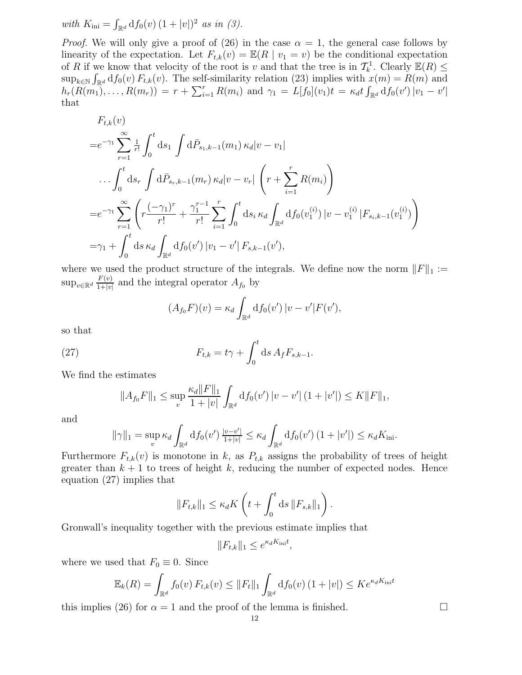with  $K_{\text{ini}} = \int_{\mathbb{R}^d} df_0(v) (1 + |v|)^2$  as in (3).

*Proof.* We will only give a proof of (26) in the case  $\alpha = 1$ , the general case follows by linearity of the expectation. Let  $F_{t,k}(v) = \mathbb{E}(R \mid v_1 = v)$  be the conditional expectation of R if we know that velocity of the root is v and that the tree is in  $\mathcal{T}_k^1$ . Clearly  $\mathbb{E}(R) \leq$  $\sup_{k\in\mathbb{N}} \int_{\mathbb{R}^d} df_0(v) F_{t,k}(v)$ . The self-similarity relation (23) implies with  $x(m) = R(m)$  and  $h_r(R(m_1), \ldots, R(m_r)) = r + \sum_{i=1}^r R(m_i)$  and  $\gamma_1 = L[f_0](v_1)t = \kappa_d t \int_{\mathbb{R}^d} df_0(v') |v_1 - v'|$ that

$$
F_{t,k}(v)
$$
  
\n
$$
=e^{-\gamma_1}\sum_{r=1}^{\infty}\frac{1}{r!}\int_0^t ds_1 \int d\bar{P}_{s_1,k-1}(m_1) \kappa_d |v-v_1|
$$
  
\n
$$
\cdots \int_0^t ds_r \int d\bar{P}_{s_r,k-1}(m_r) \kappa_d |v-v_r| \left(r+\sum_{i=1}^r R(m_i)\right)
$$
  
\n
$$
=e^{-\gamma_1}\sum_{r=1}^{\infty} \left(r\frac{(-\gamma_1)^r}{r!}+\frac{\gamma_1^{r-1}}{r!}\sum_{i=1}^r \int_0^t ds_i \kappa_d \int_{\mathbb{R}^d} df_0(v_1^{(i)}) |v-v_1^{(i)}| F_{s_i,k-1}(v_1^{(i)})\right)
$$
  
\n
$$
=\gamma_1+\int_0^t ds \kappa_d \int_{\mathbb{R}^d} df_0(v') |v_1-v'| F_{s,k-1}(v'),
$$

where we used the product structure of the integrals. We define now the norm  $||F||_1 :=$  $\sup_{v \in \mathbb{R}^d} \frac{F(v)}{1+|v|}$  $\frac{F(v)}{1+|v|}$  and the integral operator  $A_{f_0}$  by

$$
(A_{f_0}F)(v) = \kappa_d \int_{\mathbb{R}^d} df_0(v') |v - v'| F(v'),
$$

so that

(27) 
$$
F_{t,k} = t\gamma + \int_0^t \mathrm{d} s \, A_f F_{s,k-1}.
$$

We find the estimates

$$
||A_{f_0}F||_1 \leq \sup_{v} \frac{\kappa_d ||F||_1}{1+|v|} \int_{\mathbb{R}^d} df_0(v') |v - v'| (1+|v'|) \leq K ||F||_1,
$$

and

$$
\|\gamma\|_1 = \sup_v \kappa_d \int_{\mathbb{R}^d} \mathrm{d}f_0(v') \, \frac{|v - v'|}{1 + |v|} \le \kappa_d \int_{\mathbb{R}^d} \mathrm{d}f_0(v') \left(1 + |v'|\right) \le \kappa_d K_{\text{ini}}.
$$

Furthermore  $F_{t,k}(v)$  is monotone in k, as  $P_{t,k}$  assigns the probability of trees of height greater than  $k + 1$  to trees of height k, reducing the number of expected nodes. Hence equation (27) implies that

$$
||F_{t,k}||_1 \leq \kappa_d K\left(t + \int_0^t ds\,||F_{s,k}||_1\right).
$$

Gronwall's inequality together with the previous estimate implies that

$$
||F_{t,k}||_1 \le e^{\kappa_d K_{\text{ini}}t},
$$

where we used that  $F_0 \equiv 0$ . Since

$$
\mathbb{E}_k(R) = \int_{\mathbb{R}^d} f_0(v) F_{t,k}(v) \le ||F_t||_1 \int_{\mathbb{R}^d} df_0(v) (1+|v|) \le Ke^{\kappa_d K_{\text{ini}}t}
$$

this implies (26) for  $\alpha = 1$  and the proof of the lemma is finished.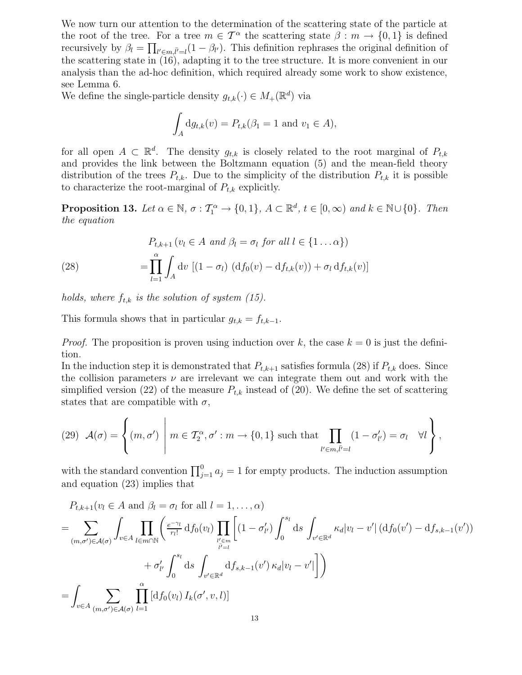We now turn our attention to the determination of the scattering state of the particle at the root of the tree. For a tree  $m \in \mathcal{T}^{\alpha}$  the scattering state  $\beta : m \to \{0,1\}$  is defined recursively by  $\beta_l = \prod_{l' \in m, \bar{l'}=l} (1 - \beta_{l'})$ . This definition rephrases the original definition of the scattering state in (16), adapting it to the tree structure. It is more convenient in our analysis than the ad-hoc definition, which required already some work to show existence, see Lemma 6.

We define the single-particle density  $g_{t,k}(\cdot) \in M_+(\mathbb{R}^d)$  via

$$
\int_A dg_{t,k}(v) = P_{t,k}(\beta_1 = 1 \text{ and } v_1 \in A),
$$

for all open  $A \subset \mathbb{R}^d$ . The density  $g_{t,k}$  is closely related to the root marginal of  $P_{t,k}$ and provides the link between the Boltzmann equation (5) and the mean-field theory distribution of the trees  $P_{t,k}$ . Due to the simplicity of the distribution  $P_{t,k}$  it is possible to characterize the root-marginal of  $P_{t,k}$  explicitly.

**Proposition 13.** Let  $\alpha \in \mathbb{N}$ ,  $\sigma : \mathcal{T}_1^{\alpha} \to \{0,1\}$ ,  $A \subset \mathbb{R}^d$ ,  $t \in [0,\infty)$  and  $k \in \mathbb{N} \cup \{0\}$ . Then the equation

(28) 
$$
P_{t,k+1} (v_l \in A \text{ and } \beta_l = \sigma_l \text{ for all } l \in \{1 \dots \alpha\})
$$

$$
= \prod_{l=1}^{\alpha} \int_A dv \left[ (1 - \sigma_l) (df_0(v) - df_{t,k}(v)) + \sigma_l df_{t,k}(v) \right]
$$

holds, where  $f_{t,k}$  is the solution of system (15).

This formula shows that in particular  $g_{t,k} = f_{t,k-1}$ .

*Proof.* The proposition is proven using induction over k, the case  $k = 0$  is just the definition.

In the induction step it is demonstrated that  $P_{t,k+1}$  satisfies formula (28) if  $P_{t,k}$  does. Since the collision parameters  $\nu$  are irrelevant we can integrate them out and work with the simplified version (22) of the measure  $P_{t,k}$  instead of (20). We define the set of scattering states that are compatible with  $\sigma$ ,

(29) 
$$
\mathcal{A}(\sigma) = \left\{ (m, \sigma') \mid m \in \mathcal{T}_2^{\alpha}, \sigma' : m \to \{0, 1\} \text{ such that } \prod_{l' \in m, \overline{l'} = l} (1 - \sigma'_{l'}) = \sigma_l \quad \forall l \right\},\
$$

with the standard convention  $\prod_{j=1}^{0} a_j = 1$  for empty products. The induction assumption and equation (23) implies that

$$
P_{t,k+1}(v_l \in A \text{ and } \beta_l = \sigma_l \text{ for all } l = 1, ..., \alpha)
$$
  
\n
$$
= \sum_{(m,\sigma') \in \mathcal{A}(\sigma)} \int_{v \in A} \prod_{l \in m \cap \mathbb{N}} \left( \frac{e^{-\gamma_l}}{r_l!} df_0(v_l) \prod_{\substack{l' \in m \\ l' = l}} \left[ (1 - \sigma'_{l'}) \int_0^{s_l} ds \int_{v' \in \mathbb{R}^d} \kappa_d |v_l - v'| \left( df_0(v') - df_{s,k-1}(v') \right) \right] + \sigma'_{l'} \int_0^{s_l} ds \int_{v' \in \mathbb{R}^d} df_{s,k-1}(v') \kappa_d |v_l - v'| \right]
$$
  
\n
$$
= \int_{v \in A} \sum_{(m,\sigma') \in \mathcal{A}(\sigma)} \prod_{l=1}^{\alpha} \left[ df_0(v_l) I_k(\sigma', v, l) \right]
$$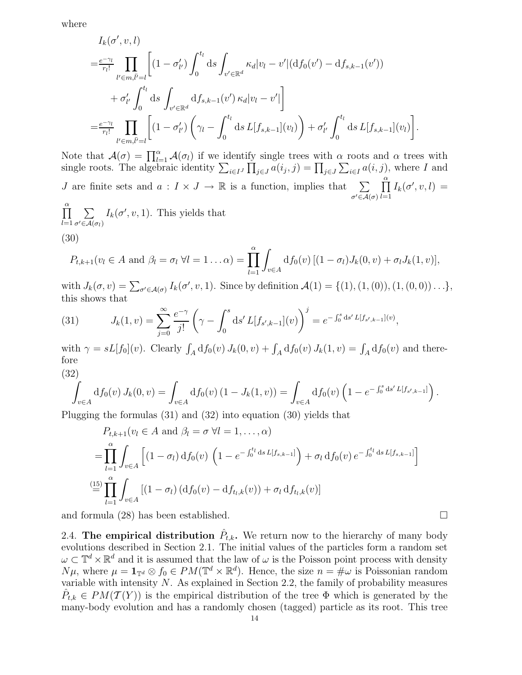where

$$
I_{k}(\sigma', v, l)
$$
\n
$$
= \frac{e^{-\gamma_{l}}}{r_{l}!} \prod_{l' \in m, l' = l} \left[ (1 - \sigma'_{l'}) \int_{0}^{t_{l}} ds \int_{v' \in \mathbb{R}^{d}} \kappa_{d} |v_{l} - v'| (df_{0}(v') - df_{s, k-1}(v')) + \sigma'_{l'} \int_{0}^{t_{l}} ds \int_{v' \in \mathbb{R}^{d}} df_{s, k-1}(v') \kappa_{d} |v_{l} - v'| \right]
$$
\n
$$
= \frac{e^{-\gamma_{l}}}{r_{l}!} \prod_{l' \in m, l' = l} \left[ (1 - \sigma'_{l'}) \left( \gamma_{l} - \int_{0}^{t_{l}} ds L[f_{s, k-1}](v_{l}) \right) + \sigma'_{l'} \int_{0}^{t_{l}} ds L[f_{s, k-1}](v_{l}) \right].
$$

Note that  $\mathcal{A}(\sigma) = \prod_{l=1}^{\alpha} \mathcal{A}(\sigma_l)$  if we identify single trees with  $\alpha$  roots and  $\alpha$  trees with single roots. The algebraic identity  $\sum_{i\in I} \prod_{j\in J} a(i_j, j) = \prod_{j\in J} \sum_{i\in I} a(i, j)$ , where I and J are finite sets and  $a: I \times J \to \mathbb{R}$  is a function, implies that  $\sum$  $\sigma' \in \mathcal{A}(\sigma)$  $\prod^{\alpha}$  $_{l=1}$  $I_k(\sigma', v, l) =$ 

 $\prod^{\alpha}$  $_{l=1}$  $\sum$  $\sigma' \in \mathcal{A}(\sigma_l)$  $I_k(\sigma', v, 1)$ . This yields that

$$
(30)
$$

$$
P_{t,k+1}(v_l \in A \text{ and } \beta_l = \sigma_l \ \forall l = 1 \ldots \alpha) = \prod_{l=1}^{\alpha} \int_{v \in A} df_0(v) \left[ (1 - \sigma_l) J_k(0, v) + \sigma_l J_k(1, v) \right],
$$

with  $J_k(\sigma, v) = \sum_{\sigma' \in \mathcal{A}(\sigma)} I_k(\sigma', v, 1)$ . Since by definition  $\mathcal{A}(1) = \{(1), (1, (0)), (1, (0, 0)) \dots\},$ this shows that

(31) 
$$
J_k(1,v) = \sum_{j=0}^{\infty} \frac{e^{-\gamma}}{j!} \left(\gamma - \int_0^s \mathrm{d}s' L[f_{s',k-1}](v)\right)^j = e^{-\int_0^s \mathrm{d}s' L[f_{s',k-1}](v)},
$$

with  $\gamma = sL[f_0](v)$ . Clearly  $\int_A df_0(v) J_k(0, v) + \int_A df_0(v) J_k(1, v) = \int_A df_0(v)$  and therefore

$$
(32)
$$

$$
\int_{v \in A} df_0(v) J_k(0, v) = \int_{v \in A} df_0(v) (1 - J_k(1, v)) = \int_{v \in A} df_0(v) (1 - e^{-\int_0^s ds' L[f_{s', k-1}]}).
$$

Plugging the formulas (31) and (32) into equation (30) yields that

$$
P_{t,k+1}(v_l \in A \text{ and } \beta_l = \sigma \ \forall l = 1, ..., \alpha)
$$
  
= 
$$
\prod_{l=1}^{\alpha} \int_{v \in A} \left[ (1 - \sigma_l) \mathrm{d} f_0(v) \left( 1 - e^{-\int_0^{t_l} ds L[f_{s,k-1}]} \right) + \sigma_l \mathrm{d} f_0(v) e^{-\int_0^{t_l} ds L[f_{s,k-1}]} \right]
$$
  

$$
\stackrel{\text{(15)}}{=} \prod_{l=1}^{\alpha} \int_{v \in A} \left[ (1 - \sigma_l) \left( \mathrm{d} f_0(v) - \mathrm{d} f_{t_l,k}(v) \right) + \sigma_l \mathrm{d} f_{t_l,k}(v) \right]
$$

and formula (28) has been established.

2.4. The empirical distribution  $\hat{P}_{t,k}$ . We return now to the hierarchy of many body evolutions described in Section 2.1. The initial values of the particles form a random set  $\omega \subset \mathbb{T}^d \times \mathbb{R}^d$  and it is assumed that the law of  $\omega$  is the Poisson point process with density  $N\mu$ , where  $\mu = \mathbf{1}_{\mathbb{T}^d} \otimes f_0 \in PM(\mathbb{T}^d \times \mathbb{R}^d)$ . Hence, the size  $n = \#\omega$  is Poissonian random variable with intensity  $N$ . As explained in Section 2.2, the family of probability measures  $\hat{P}_{t,k} \in PM(\mathcal{T}(Y))$  is the empirical distribution of the tree  $\Phi$  which is generated by the many-body evolution and has a randomly chosen (tagged) particle as its root. This tree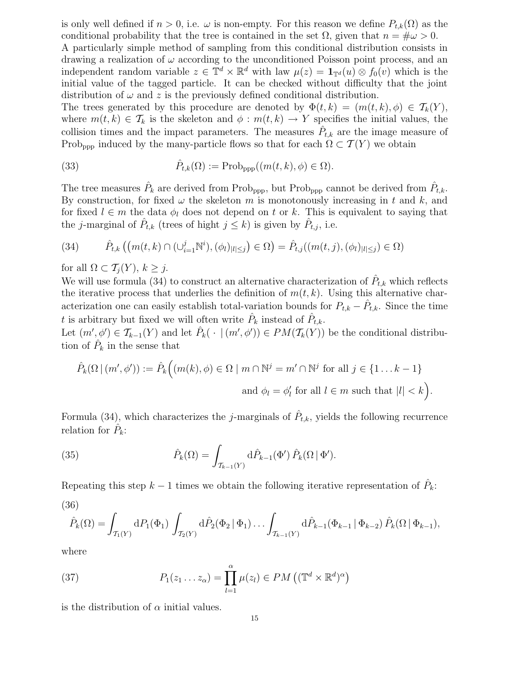is only well defined if  $n > 0$ , i.e.  $\omega$  is non-empty. For this reason we define  $P_{t,k}(\Omega)$  as the conditional probability that the tree is contained in the set  $\Omega$ , given that  $n = \frac{\mu}{\omega} > 0$ . A particularly simple method of sampling from this conditional distribution consists in drawing a realization of  $\omega$  according to the unconditioned Poisson point process, and an independent random variable  $z \in \mathbb{T}^d \times \mathbb{R}^d$  with law  $\mu(z) = \mathbf{1}_{\mathbb{T}^d}(u) \otimes f_0(v)$  which is the initial value of the tagged particle. It can be checked without difficulty that the joint distribution of  $\omega$  and z is the previously defined conditional distribution.

The trees generated by this procedure are denoted by  $\Phi(t, k) = (m(t, k), \phi) \in \mathcal{T}_k(Y)$ , where  $m(t, k) \in \mathcal{T}_k$  is the skeleton and  $\phi : m(t, k) \to Y$  specifies the initial values, the collision times and the impact parameters. The measures  $\hat{P}_{t,k}$  are the image measure of Prob<sub>ppp</sub> induced by the many-particle flows so that for each  $\Omega \subset \mathcal{T}(Y)$  we obtain

(33) 
$$
\hat{P}_{t,k}(\Omega) := \text{Prob}_{\text{ppp}}((m(t,k), \phi) \in \Omega).
$$

The tree measures  $\hat{P}_k$  are derived from Prob<sub>ppp</sub>, but Prob<sub>ppp</sub> cannot be derived from  $\hat{P}_{t,k}$ . By construction, for fixed  $\omega$  the skeleton m is monotonously increasing in t and k, and for fixed  $l \in m$  the data  $\phi_l$  does not depend on t or k. This is equivalent to saying that the *j*-marginal of  $\hat{P}_{t,k}$  (trees of hight  $j \leq k$ ) is given by  $\hat{P}_{t,j}$ , i.e.

$$
(34) \qquad \hat{P}_{t,k}\left((m(t,k)\cap(\cup_{i=1}^{j}\mathbb{N}^{i}),(\phi_{l})_{|l|\leq j}\right)\in\Omega\right)=\hat{P}_{t,j}((m(t,j),(\phi_{l})_{|l|\leq j})\in\Omega)
$$

for all  $\Omega \subset \mathcal{T}_i(Y)$ ,  $k \geq j$ .

We will use formula (34) to construct an alternative characterization of  $\hat{P}_{t,k}$  which reflects the iterative process that underlies the definition of  $m(t, k)$ . Using this alternative characterization one can easily establish total-variation bounds for  $P_{t,k} - \hat{P}_{t,k}$ . Since the time t is arbitrary but fixed we will often write  $\hat{P}_k$  instead of  $\hat{P}_{t,k}$ .

Let  $(m', \phi') \in \mathcal{T}_{k-1}(Y)$  and let  $\hat{P}_k(\cdot | (m', \phi')) \in PM(\mathcal{T}_k(Y))$  be the conditional distribution of  $\hat{P}_k$  in the sense that

$$
\hat{P}_k(\Omega \mid (m', \phi')) := \hat{P}_k\Big((m(k), \phi) \in \Omega \mid m \cap \mathbb{N}^j = m' \cap \mathbb{N}^j \text{ for all } j \in \{1 \dots k - 1\}
$$
  
and  $\phi_l = \phi'_l \text{ for all } l \in m \text{ such that } |l| < k\Big).$ 

Formula (34), which characterizes the *j*-marginals of  $\hat{P}_{t,k}$ , yields the following recurrence relation for  $\hat{P}_k$ :

(35) 
$$
\hat{P}_k(\Omega) = \int_{\mathcal{T}_{k-1}(Y)} d\hat{P}_{k-1}(\Phi') \hat{P}_k(\Omega | \Phi').
$$

Repeating this step  $k-1$  times we obtain the following iterative representation of  $\hat{P}_k$ : (36)

$$
\hat{P}_k(\Omega) = \int_{\mathcal{T}_1(Y)} dP_1(\Phi_1) \int_{\mathcal{T}_2(Y)} d\hat{P}_2(\Phi_2 | \Phi_1) \dots \int_{\mathcal{T}_{k-1}(Y)} d\hat{P}_{k-1}(\Phi_{k-1} | \Phi_{k-2}) \hat{P}_k(\Omega | \Phi_{k-1}),
$$

where

(37) 
$$
P_1(z_1 \ldots z_\alpha) = \prod_{l=1}^{\alpha} \mu(z_l) \in PM\left((\mathbb{T}^d \times \mathbb{R}^d)^{\alpha}\right)
$$

is the distribution of  $\alpha$  initial values.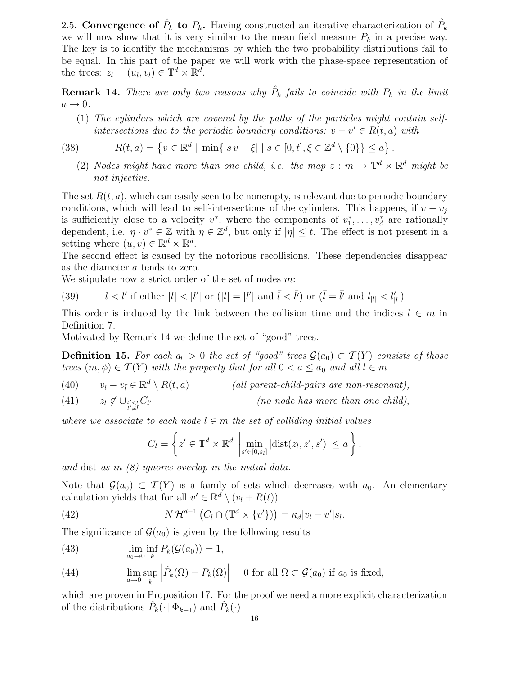2.5. Convergence of  $\hat{P}_k$  to  $P_k$ . Having constructed an iterative characterization of  $\hat{P}_k$ we will now show that it is very similar to the mean field measure  $P_k$  in a precise way. The key is to identify the mechanisms by which the two probability distributions fail to be equal. In this part of the paper we will work with the phase-space representation of the trees:  $z_l = (u_l, v_l) \in \mathbb{T}^d \times \mathbb{R}^d$ .

**Remark 14.** There are only two reasons why  $\hat{P}_k$  fails to coincide with  $P_k$  in the limit  $a \rightarrow 0$ :

(1) The cylinders which are covered by the paths of the particles might contain selfintersections due to the periodic boundary conditions:  $v - v' \in R(t, a)$  with

$$
(38)
$$

(38) 
$$
R(t, a) = \{v \in \mathbb{R}^d \mid \min\{|sv - \xi| \mid s \in [0, t], \xi \in \mathbb{Z}^d \setminus \{0\}\} \le a\}.
$$

(2) Nodes might have more than one child, i.e. the map  $z : m \to \mathbb{T}^d \times \mathbb{R}^d$  might be not injective.

The set  $R(t, a)$ , which can easily seen to be nonempty, is relevant due to periodic boundary conditions, which will lead to self-intersections of the cylinders. This happens, if  $v - v_j$ is sufficiently close to a velocity  $v^*$ , where the components of  $v_1^*, \ldots, v_d^*$  are rationally dependent, i.e.  $\eta \cdot v^* \in \mathbb{Z}$  with  $\eta \in \mathbb{Z}^d$ , but only if  $|\eta| \leq t$ . The effect is not present in a setting where  $(u, v) \in \mathbb{R}^d \times \mathbb{R}^d$ .

The second effect is caused by the notorious recollisions. These dependencies disappear as the diameter a tends to zero.

We stipulate now a strict order of the set of nodes m:

(39) 
$$
l < l'
$$
 if either  $|l| < |l'|$  or  $(|l| = |l'|$  and  $\overline{l} < \overline{l'}$ ) or  $(\overline{l} = \overline{l'} \text{ and } l_{|l|} < l'_{|l|})$ 

This order is induced by the link between the collision time and the indices  $l \in m$  in Definition 7.

Motivated by Remark 14 we define the set of "good" trees.

**Definition 15.** For each  $a_0 > 0$  the set of "good" trees  $\mathcal{G}(a_0) \subset \mathcal{T}(Y)$  consists of those trees  $(m, \phi) \in \mathcal{T}(Y)$  with the property that for all  $0 < a \leq a_0$  and all  $l \in m$ 

 $v_l - v_{\bar{l}} \in \mathbb{R}^d$ (40)  $v_l - v_{\bar{l}} \in \mathbb{R}^d \setminus R(t, a)$  (all parent-child-pairs are non-resonant),  $z_l \not\in \cup_{\substack{l' < l \\ l' \neq \overline{l}}}$ (41)  $z_l \notin \bigcup_{l' < l} C_{l'}$  (no node has more than one child),

where we associate to each node  $l \in m$  the set of colliding initial values

$$
C_l = \left\{ z' \in \mathbb{T}^d \times \mathbb{R}^d \; \middle| \; \min_{s' \in [0, s_l]} |\text{dist}(z_l, z', s')| \leq a \right\},\
$$

and dist as in (8) ignores overlap in the initial data.

Note that  $\mathcal{G}(a_0) \subset \mathcal{T}(Y)$  is a family of sets which decreases with  $a_0$ . An elementary calculation yields that for all  $v' \in \mathbb{R}^d \setminus (v_l + R(t))$ 

(42) 
$$
N\mathcal{H}^{d-1}\left(C_l\cap(\mathbb{T}^d\times\{v'\})\right)=\kappa_d|v_l-v'|s_l.
$$

The significance of  $\mathcal{G}(a_0)$  is given by the following results

(43)  $\lim_{a_0 \to 0} \inf_k P_k(\mathcal{G}(a_0)) = 1,$ 

(44) 
$$
\lim_{a \to 0} \sup_{k} \left| \hat{P}_k(\Omega) - P_k(\Omega) \right| = 0 \text{ for all } \Omega \subset \mathcal{G}(a_0) \text{ if } a_0 \text{ is fixed,}
$$

which are proven in Proposition 17. For the proof we need a more explicit characterization of the distributions  $\hat{P}_k(\cdot | \Phi_{k-1})$  and  $\hat{P}_k(\cdot)$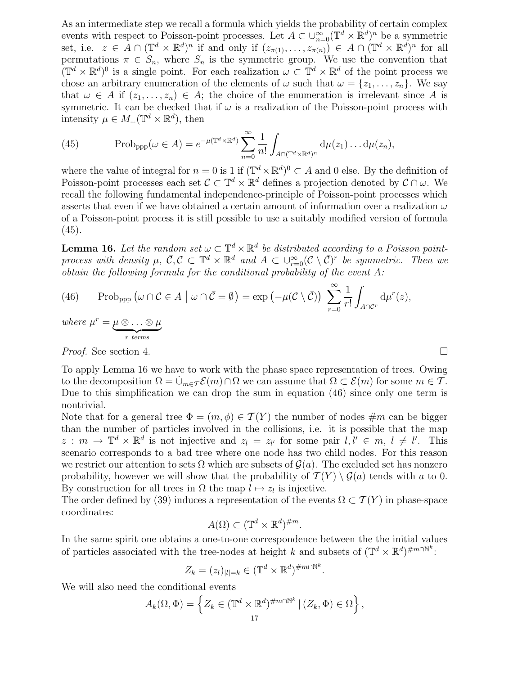As an intermediate step we recall a formula which yields the probability of certain complex events with respect to Poisson-point processes. Let  $A \subset \cup_{n=0}^{\infty} (\mathbb{T}^d \times \mathbb{R}^d)^n$  be a symmetric set, i.e.  $z \in A \cap (\mathbb{T}^d \times \mathbb{R}^d)^n$  if and only if  $(z_{\pi(1)}, \ldots, z_{\pi(n)}) \in A \cap (\mathbb{T}^d \times \mathbb{R}^d)^n$  for all permutations  $\pi \in S_n$ , where  $S_n$  is the symmetric group. We use the convention that  $(\mathbb{T}^d \times \mathbb{R}^d)^0$  is a single point. For each realization  $\omega \subset \mathbb{T}^d \times \mathbb{R}^d$  of the point process we chose an arbitrary enumeration of the elements of  $\omega$  such that  $\omega = \{z_1, \ldots, z_n\}$ . We say that  $\omega \in A$  if  $(z_1, \ldots, z_n) \in A$ ; the choice of the enumeration is irrelevant since A is symmetric. It can be checked that if  $\omega$  is a realization of the Poisson-point process with intensity  $\mu \in M_+(\mathbb{T}^d \times \mathbb{R}^d)$ , then

(45) Prob<sub>ppp</sub>
$$
(\omega \in A) = e^{-\mu(\mathbb{T}^d \times \mathbb{R}^d)} \sum_{n=0}^{\infty} \frac{1}{n!} \int_{A \cap (\mathbb{T}^d \times \mathbb{R}^d)^n} d\mu(z_1) \dots d\mu(z_n),
$$

where the value of integral for  $n = 0$  is 1 if  $(\mathbb{T}^d \times \mathbb{R}^d)^0 \subset A$  and 0 else. By the definition of Poisson-point processes each set  $\mathcal{C} \subset \mathbb{T}^d \times \mathbb{R}^d$  defines a projection denoted by  $\mathcal{C} \cap \omega$ . We recall the following fundamental independence-principle of Poisson-point processes which asserts that even if we have obtained a certain amount of information over a realization  $\omega$ of a Poisson-point process it is still possible to use a suitably modified version of formula  $(45).$ 

**Lemma 16.** Let the random set  $\omega \subset \mathbb{T}^d \times \mathbb{R}^d$  be distributed according to a Poisson pointprocess with density  $\mu, \ \bar{C}, \mathcal{C} \subset \mathbb{T}^d \times \mathbb{R}^d$  and  $A \subset \bigcup_{r=0}^{\infty} (\mathcal{C} \setminus \bar{C})^r$  be symmetric. Then we obtain the following formula for the conditional probability of the event A:

(46) Prob<sub>ppp</sub> 
$$
(\omega \cap C \in A \mid \omega \cap \overline{C} = \emptyset) = \exp(-\mu(C \setminus \overline{C})) \sum_{r=0}^{\infty} \frac{1}{r!} \int_{A \cap C^r} d\mu^r(z),
$$
  
where  $\mu^r = \underbrace{\mu \otimes \ldots \otimes \mu}_{r \text{ terms}}$ 

*Proof.* See section 4.

To apply Lemma 16 we have to work with the phase space representation of trees. Owing to the decomposition  $\Omega = \dot{\cup}_{m \in \mathcal{T}} \mathcal{E}(m) \cap \Omega$  we can assume that  $\Omega \subset \mathcal{E}(m)$  for some  $m \in \mathcal{T}$ . Due to this simplification we can drop the sum in equation (46) since only one term is nontrivial.

Note that for a general tree  $\Phi = (m, \phi) \in \mathcal{T}(Y)$  the number of nodes  $\#m$  can be bigger than the number of particles involved in the collisions, i.e. it is possible that the map  $z : m \to \mathbb{T}^d \times \mathbb{R}^d$  is not injective and  $z_l = z_{l'}$  for some pair  $l, l' \in m, l \neq l'$ . This scenario corresponds to a bad tree where one node has two child nodes. For this reason we restrict our attention to sets  $\Omega$  which are subsets of  $\mathcal{G}(a)$ . The excluded set has nonzero probability, however we will show that the probability of  $\mathcal{T}(Y) \setminus \mathcal{G}(a)$  tends with a to 0. By construction for all trees in  $\Omega$  the map  $l \mapsto z_l$  is injective.

The order defined by (39) induces a representation of the events  $\Omega \subset \mathcal{T}(Y)$  in phase-space coordinates:

$$
A(\Omega) \subset (\mathbb{T}^d \times \mathbb{R}^d)^{\#m}.
$$

In the same spirit one obtains a one-to-one correspondence between the the initial values of particles associated with the tree-nodes at height k and subsets of  $(\mathbb{T}^d \times \mathbb{R}^d)^{\#m \cap \mathbb{N}^k}$ :

$$
Z_k = (z_l)_{|l|=k} \in (\mathbb{T}^d \times \mathbb{R}^d)^{\#m \cap \mathbb{N}^k}.
$$

We will also need the conditional events

$$
A_k(\Omega, \Phi) = \left\{ Z_k \in (\mathbb{T}^d \times \mathbb{R}^d)^{\#m \cap \mathbb{N}^k} \, | \, (Z_k, \Phi) \in \Omega \right\},\
$$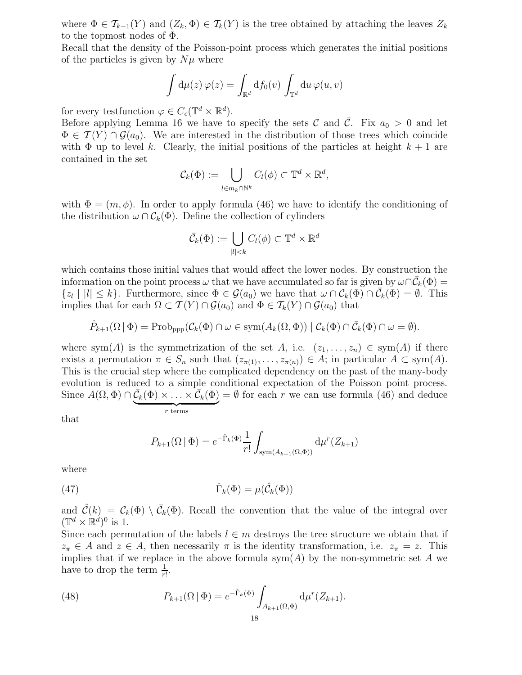where  $\Phi \in \mathcal{T}_{k-1}(Y)$  and  $(Z_k, \Phi) \in \mathcal{T}_k(Y)$  is the tree obtained by attaching the leaves  $Z_k$ to the topmost nodes of Φ.

Recall that the density of the Poisson-point process which generates the initial positions of the particles is given by  $N\mu$  where

$$
\int d\mu(z)\,\varphi(z) = \int_{\mathbb{R}^d} df_0(v)\,\int_{\mathbb{T}^d} du\,\varphi(u,v)
$$

for every testfunction  $\varphi \in C_c(\mathbb{T}^d \times \mathbb{R}^d)$ .

Before applying Lemma 16 we have to specify the sets C and  $\overline{C}$ . Fix  $a_0 > 0$  and let  $\Phi \in \mathcal{T}(Y) \cap \mathcal{G}(a_0)$ . We are interested in the distribution of those trees which coincide with  $\Phi$  up to level k. Clearly, the initial positions of the particles at height  $k+1$  are contained in the set

$$
\mathcal{C}_k(\Phi) := \bigcup_{l \in m_k \cap \mathbb{N}^k} C_l(\phi) \subset \mathbb{T}^d \times \mathbb{R}^d,
$$

with  $\Phi = (m, \phi)$ . In order to apply formula (46) we have to identify the conditioning of the distribution  $\omega \cap C_k(\Phi)$ . Define the collection of cylinders

$$
\bar{\mathcal{C}}_k(\Phi) := \bigcup_{|l| < k} C_l(\phi) \subset \mathbb{T}^d \times \mathbb{R}^d
$$

which contains those initial values that would affect the lower nodes. By construction the information on the point process  $\omega$  that we have accumulated so far is given by  $\omega \cap C_k(\Phi) =$  $\{z_l \mid |l| \leq k\}$ . Furthermore, since  $\Phi \in \mathcal{G}(a_0)$  we have that  $\omega \cap \mathcal{C}_k(\Phi) \cap \bar{\mathcal{C}}_k(\Phi) = \emptyset$ . This implies that for each  $\Omega \subset \mathcal{T}(Y) \cap \mathcal{G}(a_0)$  and  $\Phi \in \mathcal{T}_k(Y) \cap \mathcal{G}(a_0)$  that

$$
\hat{P}_{k+1}(\Omega \mid \Phi) = \text{Prob}_{\text{ppp}}(\mathcal{C}_k(\Phi) \cap \omega \in \text{sym}(A_k(\Omega, \Phi)) \mid \mathcal{C}_k(\Phi) \cap \bar{\mathcal{C}}_k(\Phi) \cap \omega = \emptyset).
$$

where sym(A) is the symmetrization of the set A, i.e.  $(z_1, \ldots, z_n) \in sym(A)$  if there exists a permutation  $\pi \in S_n$  such that  $(z_{\pi(1)}, \ldots, z_{\pi(n)}) \in A$ ; in particular  $A \subset sym(A)$ . This is the crucial step where the complicated dependency on the past of the many-body evolution is reduced to a simple conditional expectation of the Poisson point process. Since  $A(\Omega, \Phi) \cap \overline{\mathcal{C}}_k(\Phi) \times \ldots \times \overline{\mathcal{C}}_k(\Phi)$  $r$  terms  $=\emptyset$  for each r we can use formula (46) and deduce

that

$$
P_{k+1}(\Omega | \Phi) = e^{-\hat{\Gamma}_k(\Phi)} \frac{1}{r!} \int_{\text{sym}(A_{k+1}(\Omega,\Phi))} d\mu^r(Z_{k+1})
$$

where

(47) 
$$
\hat{\Gamma}_k(\Phi) = \mu(\hat{\mathcal{C}}_k(\Phi))
$$

and  $\hat{\mathcal{C}}(k) = \mathcal{C}_k(\Phi) \setminus \bar{\mathcal{C}}_k(\Phi)$ . Recall the convention that the value of the integral over  $(\mathbb{T}^d \times \mathbb{R}^d)^0$  is 1.

Since each permutation of the labels  $l \in m$  destroys the tree structure we obtain that if  $z_{\pi} \in A$  and  $z \in A$ , then necessarily  $\pi$  is the identity transformation, i.e.  $z_{\pi} = z$ . This implies that if we replace in the above formula  $sym(A)$  by the non-symmetric set A we have to drop the term  $\frac{1}{r!}$ .

(48) 
$$
P_{k+1}(\Omega | \Phi) = e^{-\hat{\Gamma}_k(\Phi)} \int_{A_{k+1}(\Omega, \Phi)} d\mu^r(Z_{k+1}).
$$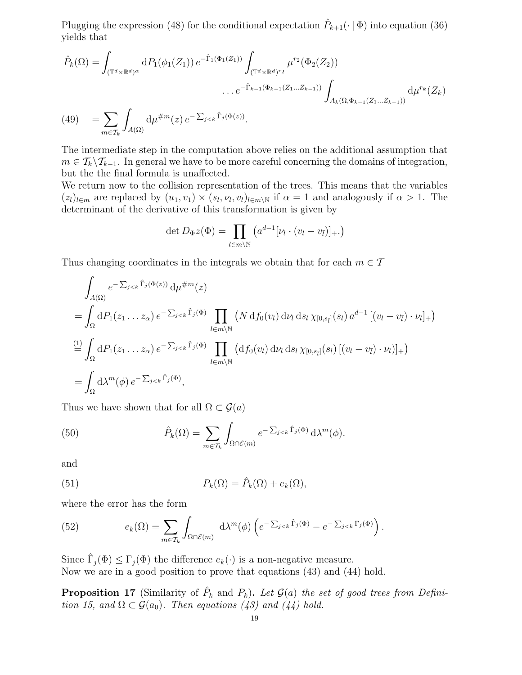Plugging the expression (48) for the conditional expectation  $\hat{P}_{k+1}(\cdot | \Phi)$  into equation (36) yields that

$$
\hat{P}_k(\Omega) = \int_{(\mathbb{T}^d \times \mathbb{R}^d)^{\alpha}} dP_1(\phi_1(Z_1)) e^{-\hat{\Gamma}_1(\Phi_1(Z_1))} \int_{(\mathbb{T}^d \times \mathbb{R}^d)^{r_2}} \mu^{r_2}(\Phi_2(Z_2))
$$
  
... 
$$
e^{-\hat{\Gamma}_{k-1}(\Phi_{k-1}(Z_1...Z_{k-1}))} \int_{A_k(\Omega, \Phi_{k-1}(Z_1...Z_{k-1}))} d\mu^{r_k}(Z_k)
$$
  
(49) 
$$
= \sum_{m \in \mathcal{T}_k} \int_{A(\Omega)} d\mu^{\#m}(z) e^{-\sum_{j < k} \hat{\Gamma}_j(\Phi(z))}.
$$

The intermediate step in the computation above relies on the additional assumption that  $m \in \mathcal{T}_k \backslash \mathcal{T}_{k-1}$ . In general we have to be more careful concerning the domains of integration, but the the final formula is unaffected.

We return now to the collision representation of the trees. This means that the variables  $(z_l)_{l \in m}$  are replaced by  $(u_1, v_1) \times (s_l, \nu_l, v_l)_{l \in m \setminus \mathbb{N}}$  if  $\alpha = 1$  and analogously if  $\alpha > 1$ . The determinant of the derivative of this transformation is given by

$$
\det D_{\Phi} z(\Phi) = \prod_{l \in m \backslash \mathbb{N}} \left( a^{d-1} [\nu_l \cdot (v_l - v_{\bar{l}})]_+ . \right)
$$

Thus changing coordinates in the integrals we obtain that for each  $m \in \mathcal{T}$ 

$$
\int_{A(\Omega)} e^{-\sum_{j < k} \hat{\Gamma}_j(\Phi(z))} d\mu^{\#m}(z)
$$
\n
$$
= \int_{\Omega} dP_1(z_1 \dots z_\alpha) e^{-\sum_{j < k} \hat{\Gamma}_j(\Phi)} \prod_{l \in m \backslash \mathbb{N}} (N d f_0(v_l) d\nu_l d s_l \chi_{[0, s_{\bar{l}}]}(s_l) a^{d-1} [(v_l - v_{\bar{l}}) \cdot \nu_l]_+)
$$
\n
$$
\stackrel{\text{(1)}}{=} \int_{\Omega} dP_1(z_1 \dots z_\alpha) e^{-\sum_{j < k} \hat{\Gamma}_j(\Phi)} \prod_{l \in m \backslash \mathbb{N}} (d f_0(v_l) d\nu_l d s_l \chi_{[0, s_{\bar{l}}]}(s_l) [(v_l - v_{\bar{l}}) \cdot \nu_l)]_+)
$$
\n
$$
= \int_{\Omega} d\lambda^m(\phi) e^{-\sum_{j < k} \hat{\Gamma}_j(\Phi)},
$$

Thus we have shown that for all  $\Omega \subset \mathcal{G}(a)$ 

(50) 
$$
\hat{P}_k(\Omega) = \sum_{m \in \mathcal{T}_k} \int_{\Omega \cap \mathcal{E}(m)} e^{-\sum_{j < k} \hat{\Gamma}_j(\Phi)} d\lambda^m(\phi).
$$

and

(51) 
$$
P_k(\Omega) = \hat{P}_k(\Omega) + e_k(\Omega),
$$

where the error has the form

(52) 
$$
e_k(\Omega) = \sum_{m \in \mathcal{T}_k} \int_{\Omega \cap \mathcal{E}(m)} d\lambda^m(\phi) \left( e^{-\sum_{j < k} \hat{\Gamma}_j(\Phi)} - e^{-\sum_{j < k} \Gamma_j(\Phi)} \right).
$$

Since  $\hat{\Gamma}_j(\Phi) \leq \Gamma_j(\Phi)$  the difference  $e_k(\cdot)$  is a non-negative measure. Now we are in a good position to prove that equations (43) and (44) hold.

**Proposition 17** (Similarity of  $\hat{P}_k$  and  $P_k$ ). Let  $\mathcal{G}(a)$  the set of good trees from Definition 15, and  $\Omega \subset \mathcal{G}(a_0)$ . Then equations (43) and (44) hold.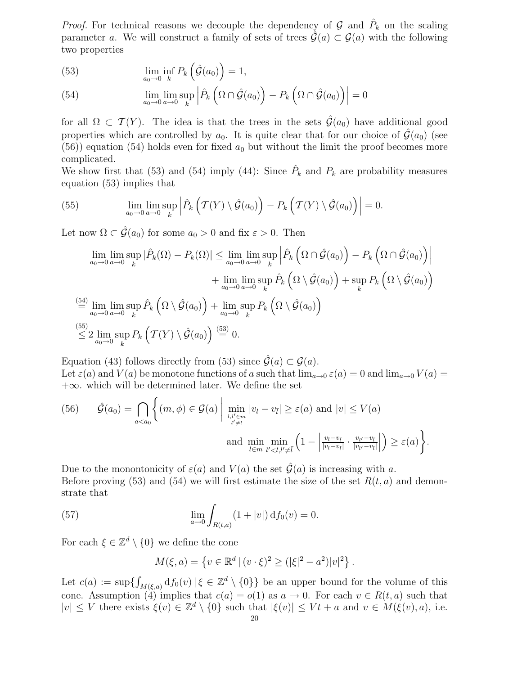*Proof.* For technical reasons we decouple the dependency of  $\mathcal{G}$  and  $\hat{P}_k$  on the scaling parameter a. We will construct a family of sets of trees  $\hat{\mathcal{G}}(a) \subset \mathcal{G}(a)$  with the following two properties

(53) 
$$
\lim_{a_0 \to 0} \inf_k P_k \left( \hat{\mathcal{G}}(a_0) \right) = 1,
$$

(54) 
$$
\lim_{a_0 \to 0} \lim_{a \to 0} \sup_k \left| \hat{P}_k \left( \Omega \cap \hat{\mathcal{G}}(a_0) \right) - P_k \left( \Omega \cap \hat{\mathcal{G}}(a_0) \right) \right| = 0
$$

for all  $\Omega \subset \mathcal{T}(Y)$ . The idea is that the trees in the sets  $\hat{\mathcal{G}}(a_0)$  have additional good properties which are controlled by  $a_0$ . It is quite clear that for our choice of  $\hat{\mathcal{G}}(a_0)$  (see (56)) equation (54) holds even for fixed  $a_0$  but without the limit the proof becomes more complicated.

We show first that (53) and (54) imply (44): Since  $\hat{P}_k$  and  $P_k$  are probability measures equation (53) implies that

(55) 
$$
\lim_{a_0 \to 0} \lim_{a \to 0} \sup_k \left| \hat{P}_k \left( \mathcal{T}(Y) \setminus \hat{\mathcal{G}}(a_0) \right) - P_k \left( \mathcal{T}(Y) \setminus \hat{\mathcal{G}}(a_0) \right) \right| = 0.
$$

Let now  $\Omega \subset \hat{\mathcal{G}}(a_0)$  for some  $a_0 > 0$  and fix  $\varepsilon > 0$ . Then

$$
\lim_{a_0 \to 0} \lim_{a \to 0} \sup_k |\hat{P}_k(\Omega) - P_k(\Omega)| \le \lim_{a_0 \to 0} \lim_{a \to 0} \sup_k \left| \hat{P}_k\left(\Omega \cap \hat{\mathcal{G}}(a_0)\right) - P_k\left(\Omega \cap \hat{\mathcal{G}}(a_0)\right) \right|
$$
  
+ 
$$
\lim_{a_0 \to 0} \lim_{a \to 0} \sup_k \hat{P}_k\left(\Omega \setminus \hat{\mathcal{G}}(a_0)\right) + \sup_k P_k\left(\Omega \setminus \hat{\mathcal{G}}(a_0)\right)
$$
  

$$
\stackrel{\text{(54)}}{=} \lim_{a_0 \to 0} \lim_{a \to 0} \sup_k \hat{P}_k\left(\Omega \setminus \hat{\mathcal{G}}(a_0)\right) + \lim_{a_0 \to 0} \sup_k P_k\left(\Omega \setminus \hat{\mathcal{G}}(a_0)\right)
$$
  

$$
\stackrel{\text{(55)}}{\leq} 2 \lim_{a_0 \to 0} \sup_k P_k\left(\mathcal{T}(Y) \setminus \hat{\mathcal{G}}(a_0)\right) \stackrel{\text{(53)}}{=} 0.
$$

Equation (43) follows directly from (53) since  $\hat{\mathcal{G}}(a) \subset \mathcal{G}(a)$ . Let  $\varepsilon(a)$  and  $V(a)$  be monotone functions of a such that  $\lim_{a\to 0} \varepsilon(a) = 0$  and  $\lim_{a\to 0} V(a) =$  $+\infty$ . which will be determined later. We define the set

(56) 
$$
\hat{\mathcal{G}}(a_0) = \bigcap_{a < a_0} \left\{ (m, \phi) \in \mathcal{G}(a) \; \middle| \; \min_{\substack{l, l' \in m \\ l' \neq l}} |v_l - v_{\bar{l}}| \geq \varepsilon(a) \text{ and } |v| \leq V(a) \right\}
$$
\nand 
$$
\min_{l \in m} \min_{l' < l, l' \neq \bar{l}} \left( 1 - \left| \frac{v_l - v_{\bar{l}}}{|v_l - v_{\bar{l}}|} \cdot \frac{v_{l'} - v_{\bar{l}}}{|v_{l'} - v_{\bar{l}}|} \right| \right) \geq \varepsilon(a) \right\}.
$$

Due to the monontonicity of  $\varepsilon(a)$  and  $V(a)$  the set  $\hat{\mathcal{G}}(a)$  is increasing with a. Before proving (53) and (54) we will first estimate the size of the set  $R(t, a)$  and demonstrate that

(57) 
$$
\lim_{a \to 0} \int_{R(t,a)} (1+|v|) \, \mathrm{d} f_0(v) = 0.
$$

For each  $\xi \in \mathbb{Z}^d \setminus \{0\}$  we define the cone

$$
M(\xi, a) = \{ v \in \mathbb{R}^d \, | \, (v \cdot \xi)^2 \ge (|\xi|^2 - a^2)|v|^2 \}.
$$

Let  $c(a) := \sup \{ \int_{M(\xi, a)} df_0(v) | \xi \in \mathbb{Z}^d \setminus \{0\} \}$  be an upper bound for the volume of this cone. Assumption (4) implies that  $c(a) = o(1)$  as  $a \to 0$ . For each  $v \in R(t, a)$  such that  $|v| \leq V$  there exists  $\xi(v) \in \mathbb{Z}^d \setminus \{0\}$  such that  $|\xi(v)| \leq Vt + a$  and  $v \in M(\xi(v), a)$ , i.e.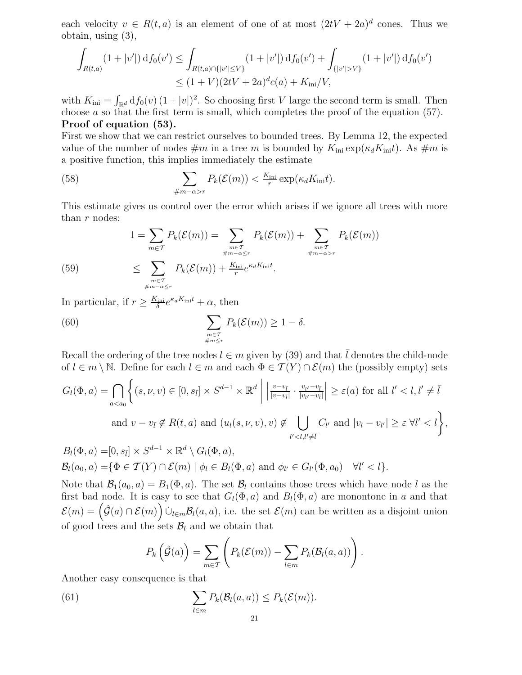each velocity  $v \in R(t, a)$  is an element of one of at most  $(2tV + 2a)^d$  cones. Thus we obtain, using (3),

$$
\int_{R(t,a)} (1+|v'|) df_0(v') \leq \int_{R(t,a)\cap\{|v'|\leq V\}} (1+|v'|) df_0(v') + \int_{\{|v'|> V\}} (1+|v'|) df_0(v')
$$
  

$$
\leq (1+V)(2tV+2a)^d c(a) + K_{\rm ini}/V,
$$

with  $K_{\text{ini}} = \int_{\mathbb{R}^d} df_0(v) (1+|v|)^2$ . So choosing first V large the second term is small. Then choose a so that the first term is small, which completes the proof of the equation  $(57)$ . Proof of equation (53).

First we show that we can restrict ourselves to bounded trees. By Lemma 12, the expected value of the number of nodes  $\#m$  in a tree m is bounded by  $K_{\text{ini}} \exp(\kappa_d K_{\text{ini}}t)$ . As  $\#m$  is a positive function, this implies immediately the estimate

(58) 
$$
\sum_{\#m-\alpha>r} P_k(\mathcal{E}(m)) < \frac{K_{\text{ini}}}{r} \exp(\kappa_d K_{\text{ini}} t).
$$

This estimate gives us control over the error which arises if we ignore all trees with more than  $r$  nodes:

(59) 
$$
1 = \sum_{m \in \mathcal{T}} P_k(\mathcal{E}(m)) = \sum_{\substack{m \in \mathcal{T} \\ \#m - \alpha \le r}} P_k(\mathcal{E}(m)) + \sum_{\substack{m \in \mathcal{T} \\ \#m - \alpha > r}} P_k(\mathcal{E}(m)) + \sum_{\substack{m \in \mathcal{T} \\ \#m - \alpha > r}} P_k(\mathcal{E}(m)) + \sum_{\substack{m \in \mathcal{T} \\ \#m - \alpha \le r}} P_k(\mathcal{E}(m)) + \sum_{\substack{m \in \mathcal{T} \\ \#m - \alpha \le r}} P_k(\mathcal{E}(m)) + \sum_{\substack{m \in \mathcal{T} \\ \#m - \alpha \le r}} P_k(\mathcal{E}(m))
$$

In particular, if  $r \geq \frac{K_{\text{ini}}}{\delta}$  $\frac{\epsilon_{\text{ini}}}{\delta}e^{\kappa_d K_{\text{ini}}t} + \alpha$ , then

(60) 
$$
\sum_{m \in \mathcal{T} \atop \#m \leq r} P_k(\mathcal{E}(m)) \geq 1 - \delta.
$$

Recall the ordering of the tree nodes  $l \in m$  given by (39) and that l denotes the child-node of  $l \in m \setminus \mathbb{N}$ . Define for each  $l \in m$  and each  $\Phi \in \mathcal{T}(Y) \cap \mathcal{E}(m)$  the (possibly empty) sets

$$
G_{l}(\Phi, a) = \bigcap_{a < a_{0}} \left\{ (s, \nu, v) \in [0, s_{\bar{l}}] \times S^{d-1} \times \mathbb{R}^{d} \middle| \left| \frac{v - v_{\bar{l}}}{|v - v_{\bar{l}}|} \cdot \frac{v_{\nu} - v_{\bar{l}}}{|v_{\nu} - v_{\bar{l}}|} \right| \geq \varepsilon(a) \text{ for all } l' < l, l' \neq \bar{l}
$$
\n
$$
\text{and } v - v_{\bar{l}} \notin R(t, a) \text{ and } (u_{l}(s, \nu, v), v) \notin \bigcup_{l' < l, l' \neq \bar{l}} C_{l'} \text{ and } |v_{l} - v_{l'}| \geq \varepsilon \ \forall l' < l \right\},
$$
\n
$$
B_{l}(\Phi, a) = [0, s_{\bar{l}}] \times S^{d-1} \times \mathbb{R}^{d} \setminus G_{l}(\Phi, a),
$$

$$
\mathcal{B}_l(a_0,a) = \{ \Phi \in \mathcal{T}(Y) \cap \mathcal{E}(m) \mid \phi_l \in B_l(\Phi,a) \text{ and } \phi_{l'} \in G_{l'}(\Phi,a_0) \quad \forall l' < l \}.
$$

Note that  $\mathcal{B}_1(a_0, a) = B_1(\Phi, a)$ . The set  $\mathcal{B}_l$  contains those trees which have node l as the first bad node. It is easy to see that  $G_l(\Phi, a)$  and  $B_l(\Phi, a)$  are monontone in a and that  $\mathcal{E}(m) = (\hat{\mathcal{G}}(a) \cap \mathcal{E}(m))$   $\cup_{l \in m} \mathcal{B}_l(a, a)$ , i.e. the set  $\mathcal{E}(m)$  can be written as a disjoint union of good trees and the sets  $\mathcal{B}_l$  and we obtain that

$$
P_k\left(\hat{\mathcal{G}}(a)\right) = \sum_{m \in \mathcal{T}} \left( P_k(\mathcal{E}(m)) - \sum_{l \in m} P_k(\mathcal{B}_l(a, a)) \right).
$$

Another easy consequence is that

(61) 
$$
\sum_{l \in m} P_k(\mathcal{B}_l(a, a)) \leq P_k(\mathcal{E}(m)).
$$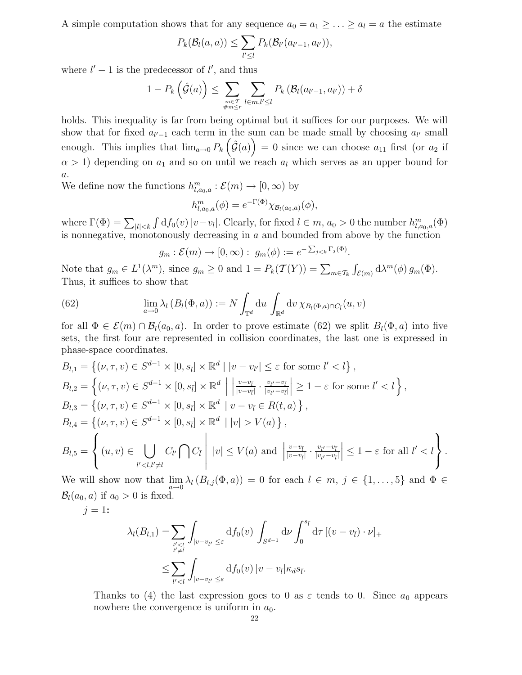A simple computation shows that for any sequence  $a_0 = a_1 \geq \ldots \geq a_l = a$  the estimate

$$
P_k(\mathcal{B}_l(a,a)) \leq \sum_{l' \leq l} P_k(\mathcal{B}_{l'}(a_{l'-1},a_{l'})),
$$

where  $l' - 1$  is the predecessor of  $l'$ , and thus

$$
1 - P_k\left(\hat{\mathcal{G}}(a)\right) \leq \sum_{\substack{m \in \mathcal{I} \\ \#m \leq r}} \sum_{l \in m, l' \leq l} P_k\left(\mathcal{B}_l(a_{l'-1}, a_{l'})\right) + \delta
$$

holds. This inequality is far from being optimal but it suffices for our purposes. We will show that for fixed  $a_{l'-1}$  each term in the sum can be made small by choosing  $a_{l'}$  small enough. This implies that  $\lim_{a\to 0} P_k(\hat{\mathcal{G}}(a)) = 0$  since we can choose  $a_{11}$  first (or  $a_2$  if  $\alpha > 1$ ) depending on  $a_1$  and so on until we reach  $a_l$  which serves as an upper bound for a.

We define now the functions  $h^m_{l,a_0,a}: \mathcal{E}(m) \to [0,\infty)$  by

$$
h^m_{l,a_0,a}(\phi) = e^{-\Gamma(\Phi)} \chi_{\mathcal{B}_l(a_0,a)}(\phi),
$$

where  $\Gamma(\Phi) = \sum_{|l| < k} \int df_0(v) |v - v_l|$ . Clearly, for fixed  $l \in m$ ,  $a_0 > 0$  the number  $h^{m}_{l,a_0,a}(\Phi)$ is nonnegative, monotonously decreasing in  $a$  and bounded from above by the function

$$
g_m: \mathcal{E}(m) \to [0, \infty): g_m(\phi) := e^{-\sum_{j < k} \Gamma_j(\Phi)}
$$

.

Note that  $g_m \in L^1(\lambda^m)$ , since  $g_m \ge 0$  and  $1 = P_k(\mathcal{T}(Y)) = \sum_{m \in \mathcal{T}_k} \int_{\mathcal{E}(m)} d\lambda^m(\phi) g_m(\Phi)$ . Thus, it suffices to show that

(62) 
$$
\lim_{a \to 0} \lambda_l (B_l(\Phi, a)) := N \int_{\mathbb{T}^d} du \int_{\mathbb{R}^d} dv \,\chi_{B_l(\Phi, a) \cap C_{\bar{l}}}(u, v)
$$

for all  $\Phi \in \mathcal{E}(m) \cap \mathcal{B}_l(a_0, a)$ . In order to prove estimate (62) we split  $B_l(\Phi, a)$  into five sets, the first four are represented in collision coordinates, the last one is expressed in phase-space coordinates.

$$
B_{l,1} = \left\{ (\nu, \tau, v) \in S^{d-1} \times [0, s_{\bar{l}}] \times \mathbb{R}^{d} \mid |v - v_{l'}| \leq \varepsilon \text{ for some } l' < l \right\},
$$
  
\n
$$
B_{l,2} = \left\{ (\nu, \tau, v) \in S^{d-1} \times [0, s_{\bar{l}}] \times \mathbb{R}^{d} \mid \left| \frac{v - v_{\bar{l}}}{|v - v_{\bar{l}}|} \cdot \frac{v_{l'} - v_{\bar{l}}}{|v_{l'} - v_{\bar{l}}|} \right| \geq 1 - \varepsilon \text{ for some } l' < l \right\},
$$
  
\n
$$
B_{l,3} = \left\{ (\nu, \tau, v) \in S^{d-1} \times [0, s_{\bar{l}}] \times \mathbb{R}^{d} \mid v - v_{\bar{l}} \in R(t, a) \right\},
$$
  
\n
$$
B_{l,4} = \left\{ (\nu, \tau, v) \in S^{d-1} \times [0, s_{\bar{l}}] \times \mathbb{R}^{d} \mid |v| > V(a) \right\},
$$
  
\n
$$
B_{l,5} = \left\{ (u, v) \in \bigcup_{l' < l, l' \neq \bar{l}} C_{l'} \bigcap C_{\bar{l}} \mid |v| \leq V(a) \text{ and } \left| \frac{v - v_{\bar{l}}}{|v - v_{\bar{l}}|} \cdot \frac{v_{l'} - v_{\bar{l}}}{|v_{l'} - v_{\bar{l}}|} \right| \leq 1 - \varepsilon \text{ for all } l' < l \right\}.
$$

We will show now that  $\lim_{a\to 0} \lambda_l(B_{l,j}(\Phi, a)) = 0$  for each  $l \in m, j \in \{1, ..., 5\}$  and  $\Phi \in$  $\mathcal{B}_l(a_0, a)$  if  $a_0 > 0$  is fixed.

 $j = 1$ :

$$
\lambda_l(B_{l,1}) = \sum_{\substack{l' < l \\ l' \neq l}} \int_{|v - v_{l'}| \leq \varepsilon} \mathrm{d}f_0(v) \int_{S^{d-1}} \mathrm{d}v \int_0^{s_{\bar{l}}} \mathrm{d}\tau \, [(v - v_{\bar{l}}) \cdot \nu]_+ \\
\leq \sum_{l' < l} \int_{|v - v_{l'}| \leq \varepsilon} \mathrm{d}f_0(v) \, |v - v_{\bar{l}}| \kappa_d s_{\bar{l}}.
$$

Thanks to (4) the last expression goes to 0 as  $\varepsilon$  tends to 0. Since  $a_0$  appears nowhere the convergence is uniform in  $a_0$ .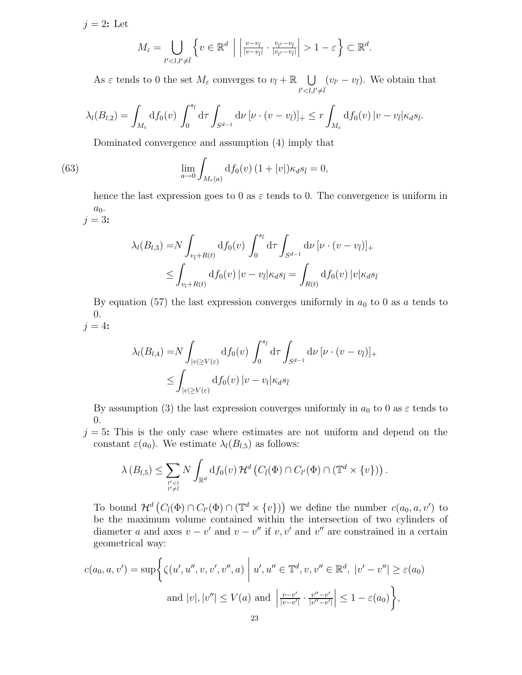$j = 2$ : Let

$$
M_{\varepsilon} = \bigcup_{l' < l, l' \neq \overline{l}} \left\{ v \in \mathbb{R}^d \; \left| \; \left| \frac{v - v_{\overline{l}}}{|v - v_{\overline{l}}|} \cdot \frac{v_{l'} - v_{\overline{l}}}{|v_{l'} - v_{\overline{l}}|} \right| > 1 - \varepsilon \right\} \subset \mathbb{R}^d.
$$

As  $\varepsilon$  tends to 0 the set  $M_{\varepsilon}$  converges to  $v_{\bar{l}} + \mathbb{R}$   $\cup$  $l' < l, l' \neq \overline{l}$  $(v_{l'}-v_{\bar{l}})$ . We obtain that

$$
\lambda_l(B_{l,2}) = \int_{M_{\varepsilon}} df_0(v) \int_0^{s_{\overline{l}}} d\tau \int_{S^{d-1}} d\nu \left[ \nu \cdot (v - v_{\overline{l}}) \right]_+ \leq r \int_{M_{\varepsilon}} df_0(v) \left| v - v_{\overline{l}} \right| \kappa_d s_{\overline{l}}.
$$

Dominated convergence and assumption (4) imply that

(63) 
$$
\lim_{a \to 0} \int_{M_{\varepsilon}(a)} \mathrm{d} f_0(v) \left(1 + |v|\right) \kappa_d s_{\bar{l}} = 0,
$$

hence the last expression goes to 0 as  $\varepsilon$  tends to 0. The convergence is uniform in  $a_0$ .  $j = 3$ :

$$
\lambda_l(B_{l,3}) = N \int_{v_{\bar{l}}+R(t)} df_0(v) \int_0^{s_{\bar{l}}} d\tau \int_{S^{d-1}} d\nu \left[ \nu \cdot (v-v_{\bar{l}}) \right]_+ \leq \int_{v_l+R(t)} df_0(v) \left| v-v_{\bar{l}} \right| \kappa_d s_{\bar{l}} = \int_{R(t)} df_0(v) \left| v \right| \kappa_d s_{\bar{l}}
$$

By equation (57) the last expression converges uniformly in  $a_0$  to 0 as a tends to 0.  $j = 4$ :

$$
\lambda_l(B_{l,4}) = N \int_{|v| \ge V(\varepsilon)} df_0(v) \int_0^{s_{\bar{l}}} d\tau \int_{S^{d-1}} d\nu \left[ \nu \cdot (v - v_{\bar{l}}) \right]_+ \le \int_{|v| \ge V(\varepsilon)} df_0(v) \left| v - v_l \right| \kappa_d s_{\bar{l}}
$$

By assumption (3) the last expression converges uniformly in  $a_0$  to 0 as  $\varepsilon$  tends to 0.

 $j = 5$ : This is the only case where estimates are not uniform and depend on the constant  $\varepsilon(a_0)$ . We estimate  $\lambda_l(B_{l,5})$  as follows:

$$
\lambda(B_{l,5}) \leq \sum_{\substack{v < l \\ v \neq \overline{l}}} N \int_{\mathbb{R}^d} \mathrm{d} f_0(v) \, \mathcal{H}^d \left( C_{\overline{l}}(\Phi) \cap C_{l'}(\Phi) \cap (\mathbb{T}^d \times \{v\}) \right).
$$

To bound  $\mathcal{H}^d(C_{\bar{l}}(\Phi) \cap C_{l'}(\Phi) \cap (\mathbb{T}^d \times \{v\})$  we define the number  $c(a_0, a, v')$  to be the maximum volume contained within the intersection of two cylinders of diameter a and axes  $v - v'$  and  $v - v''$  if v, v' and v'' are constrained in a certain geometrical way:

$$
c(a_0, a, v') = \sup \bigg\{ \zeta(u', u'', v, v', v'', a) \bigg| u', u'' \in \mathbb{T}^d, v, v'' \in \mathbb{R}^d, |v' - v''| \ge \varepsilon(a_0)
$$
  
and  $|v|, |v''| \le V(a)$  and  $\bigg| \frac{v - v'}{|v - v'|} \cdot \frac{v'' - v'}{|v'' - v'|} \bigg| \le 1 - \varepsilon(a_0) \bigg\},$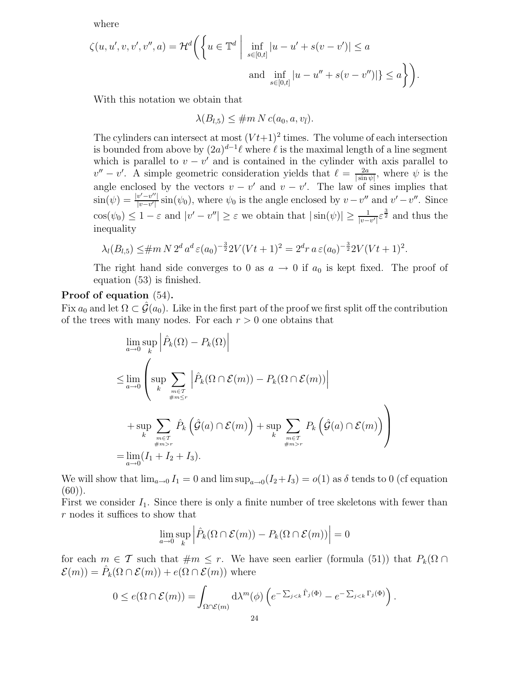where

$$
\zeta(u, u', v, v', v'', a) = \mathcal{H}^d \bigg( \bigg\{ u \in \mathbb{T}^d \; \bigg| \; \inf_{s \in [0, t]} |u - u' + s(v - v')| \le a \; \text{and} \; \inf_{s \in [0, t]} |u - u'' + s(v - v'')| \} \le a \bigg\} \bigg).
$$

With this notation we obtain that

$$
\lambda(B_{l,5}) \leq \#m N c(a_0, a, v_{\bar{l}}).
$$

The cylinders can intersect at most  $(Vt+1)^2$  times. The volume of each intersection is bounded from above by  $(2a)^{d-1}\ell$  where  $\ell$  is the maximal length of a line segment which is parallel to  $v - v'$  and is contained in the cylinder with axis parallel to  $v'' - v'$ . A simple geometric consideration yields that  $\ell = \frac{2a}{\sin \ell}$  $\frac{2a}{|\sin\psi|}$ , where  $\psi$  is the angle enclosed by the vectors  $v - v'$  and  $v - v'$ . The law of sines implies that  $\sin(\psi) = \frac{|v'-v''|}{|v-v'|}$  $\frac{v'-v''}{|v-v'|}\sin(\psi_0)$ , where  $\psi_0$  is the angle enclosed by  $v-v''$  and  $v'-v''$ . Since  $\cos(\psi_0) \leq 1 - \varepsilon$  and  $|v' - v''| \geq \varepsilon$  we obtain that  $|\sin(\psi)| \geq \frac{1}{|v - v''|}$  $\frac{1}{|v-v'|} \varepsilon^{\frac{3}{2}}$  and thus the inequality

$$
\lambda_l(B_{l,5}) \leq \#m N 2^d a^d \varepsilon(a_0)^{-\frac{3}{2}} 2V(Vt+1)^2 = 2^d r a \varepsilon(a_0)^{-\frac{3}{2}} 2V(Vt+1)^2.
$$

The right hand side converges to 0 as  $a \to 0$  if  $a_0$  is kept fixed. The proof of equation (53) is finished.

## Proof of equation (54).

Fix  $a_0$  and let  $\Omega \subset \mathcal{G}(a_0)$ . Like in the first part of the proof we first split off the contribution of the trees with many nodes. For each  $r > 0$  one obtains that

$$
\lim_{a \to 0} \sup_{k} \left| \hat{P}_{k}(\Omega) - P_{k}(\Omega) \right|
$$
\n
$$
\leq \lim_{a \to 0} \left( \sup_{k} \sum_{\substack{m \in \mathcal{T} \\ \#m \leq r}} \left| \hat{P}_{k}(\Omega \cap \mathcal{E}(m)) - P_{k}(\Omega \cap \mathcal{E}(m)) \right| + \sup_{k} \sum_{\substack{m \in \mathcal{T} \\ \#m > r}} P_{k} \left( \hat{\mathcal{G}}(a) \cap \mathcal{E}(m) \right) + \sup_{k} \sum_{\substack{m \in \mathcal{T} \\ \#m > r}} P_{k} \left( \hat{\mathcal{G}}(a) \cap \mathcal{E}(m) \right) \right)
$$
\n
$$
= \lim_{a \to 0} (I_{1} + I_{2} + I_{3}).
$$

We will show that  $\lim_{a\to 0} I_1 = 0$  and  $\limsup_{a\to 0} (I_2 + I_3) = o(1)$  as  $\delta$  tends to 0 (cf equation  $(60)$ .

First we consider  $I_1$ . Since there is only a finite number of tree skeletons with fewer than r nodes it suffices to show that

$$
\lim_{a \to 0} \sup_{k} \left| \hat{P}_k(\Omega \cap \mathcal{E}(m)) - P_k(\Omega \cap \mathcal{E}(m)) \right| = 0
$$

for each  $m \in \mathcal{T}$  such that  $\#m \leq r$ . We have seen earlier (formula (51)) that  $P_k(\Omega \cap$  $\mathcal{E}(m) = \hat{P}_k(\Omega \cap \mathcal{E}(m)) + e(\Omega \cap \mathcal{E}(m))$  where

$$
0 \le e(\Omega \cap \mathcal{E}(m)) = \int_{\Omega \cap \mathcal{E}(m)} d\lambda^{m}(\phi) \left( e^{-\sum_{j < k} \hat{\Gamma}_{j}(\Phi)} - e^{-\sum_{j < k} \Gamma_{j}(\Phi)} \right).
$$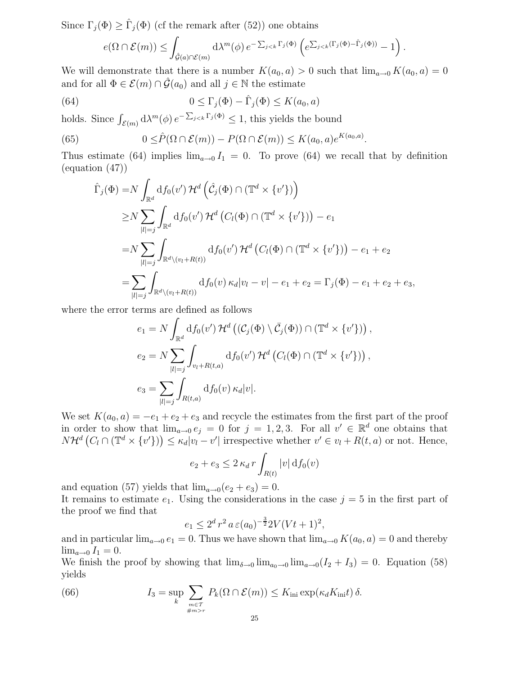Since  $\Gamma_j(\Phi) \geq \hat{\Gamma}_j(\Phi)$  (cf the remark after (52)) one obtains

$$
e(\Omega \cap \mathcal{E}(m)) \leq \int_{\hat{\mathcal{G}}(a) \cap \mathcal{E}(m)} d\lambda^{m}(\phi) e^{-\sum_{j < k} \Gamma_{j}(\Phi)} \left( e^{\sum_{j < k} (\Gamma_{j}(\Phi) - \hat{\Gamma}_{j}(\Phi))} - 1 \right).
$$

We will demonstrate that there is a number  $K(a_0, a) > 0$  such that  $\lim_{a\to 0} K(a_0, a) = 0$ and for all  $\Phi \in \mathcal{E}(m) \cap \hat{\mathcal{G}}(a_0)$  and all  $j \in \mathbb{N}$  the estimate

(64) 
$$
0 \leq \Gamma_j(\Phi) - \hat{\Gamma}_j(\Phi) \leq K(a_0, a)
$$

holds. Since  $\int_{\mathcal{E}(m)} d\lambda^m(\phi) e^{-\sum_{j\leq k} \Gamma_j(\Phi)} \leq 1$ , this yields the bound

(65) 
$$
0 \leq \hat{P}(\Omega \cap \mathcal{E}(m)) - P(\Omega \cap \mathcal{E}(m)) \leq K(a_0, a)e^{K(a_0, a)}.
$$

Thus estimate (64) implies  $\lim_{a\to 0} I_1 = 0$ . To prove (64) we recall that by definition (equation (47))

$$
\hat{\Gamma}_j(\Phi) = N \int_{\mathbb{R}^d} df_0(v') \mathcal{H}^d \left( \hat{\mathcal{C}}_j(\Phi) \cap (\mathbb{T}^d \times \{v'\}) \right)
$$
\n
$$
\geq N \sum_{|l|=j} \int_{\mathbb{R}^d} df_0(v') \mathcal{H}^d \left( C_l(\Phi) \cap (\mathbb{T}^d \times \{v'\}) \right) - e_1
$$
\n
$$
= N \sum_{|l|=j} \int_{\mathbb{R}^d \setminus (v_l + R(t))} df_0(v') \mathcal{H}^d \left( C_l(\Phi) \cap (\mathbb{T}^d \times \{v'\}) \right) - e_1 + e_2
$$
\n
$$
= \sum_{|l|=j} \int_{\mathbb{R}^d \setminus (v_l + R(t))} df_0(v) \kappa_d |v_l - v| - e_1 + e_2 = \Gamma_j(\Phi) - e_1 + e_2 + e_3,
$$

where the error terms are defined as follows

$$
e_1 = N \int_{\mathbb{R}^d} df_0(v') \mathcal{H}^d \left( (\mathcal{C}_j(\Phi) \setminus \overline{\mathcal{C}}_j(\Phi)) \cap (\mathbb{T}^d \times \{v'\}) \right),
$$
  
\n
$$
e_2 = N \sum_{|l|=j} \int_{v_l + R(t,a)} df_0(v') \mathcal{H}^d \left( C_l(\Phi) \cap (\mathbb{T}^d \times \{v'\}) \right),
$$
  
\n
$$
e_3 = \sum_{|l|=j} \int_{R(t,a)} df_0(v) \kappa_d |v|.
$$

We set  $K(a_0, a) = -e_1 + e_2 + e_3$  and recycle the estimates from the first part of the proof in order to show that  $\lim_{a\to 0} e_j = 0$  for  $j = 1, 2, 3$ . For all  $v' \in \mathbb{R}^d$  one obtains that  $N\mathcal{H}^{d}(C_{l}\cap(\mathbb{T}^{d}\times\{v'\})\leq\kappa_{d}|v_{l}-v'|$  irrespective whether  $v'\in v_{l}+R(t,a)$  or not. Hence,

$$
e_2 + e_3 \le 2 \kappa_d r \int_{R(t)} |v| \,d f_0(v)
$$

and equation (57) yields that  $\lim_{a\to 0} (e_2 + e_3) = 0$ .

It remains to estimate  $e_1$ . Using the considerations in the case  $j = 5$  in the first part of the proof we find that

$$
e_1 \le 2^d r^2 a \, \varepsilon(a_0)^{-\frac{3}{2}} 2V(Vt+1)^2,
$$

and in particular  $\lim_{a\to 0} e_1 = 0$ . Thus we have shown that  $\lim_{a\to 0} K(a_0, a) = 0$  and thereby  $\lim_{a\to 0} I_1 = 0.$ 

We finish the proof by showing that  $\lim_{\delta \to 0} \lim_{a \to 0} \lim_{a \to 0} (I_2 + I_3) = 0$ . Equation (58) yields

(66) 
$$
I_3 = \sup_k \sum_{m \in \mathcal{T} \atop \#m > r} P_k(\Omega \cap \mathcal{E}(m)) \leq K_{\text{ini}} \exp(\kappa_d K_{\text{ini}} t) \delta.
$$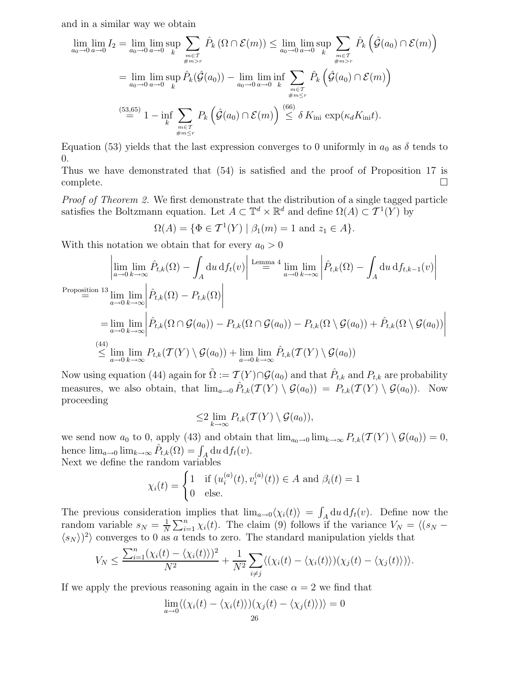and in a similar way we obtain

$$
\lim_{a_0 \to 0} \lim_{a \to 0} I_2 = \lim_{a_0 \to 0} \lim_{a \to 0} \sup_k \sum_{\substack{m \in \mathcal{T} \\ \#m > r}} \hat{P}_k \left( \Omega \cap \mathcal{E}(m) \right) \le \lim_{a_0 \to 0} \limsup_{a \to 0} \sum_{\substack{m \in \mathcal{T} \\ \#m > r}} \hat{P}_k \left( \hat{\mathcal{G}}(a_0) \cap \mathcal{E}(m) \right)
$$
\n
$$
= \lim_{a_0 \to 0} \limsup_{a \to 0} \hat{P}_k(\hat{\mathcal{G}}(a_0)) - \lim_{a_0 \to 0} \liminf_{a \to 0} \sum_{\substack{m \in \mathcal{T} \\ \#m \le r}} \hat{P}_k \left( \hat{\mathcal{G}}(a_0) \cap \mathcal{E}(m) \right)
$$
\n
$$
\lim_{\substack{m \in \mathcal{T} \\ \#m \le r}} \sum_{\substack{n \in \mathcal{T} \\ \#m \le r}} \hat{P}_k \left( \hat{\mathcal{G}}(a_0) \cap \mathcal{E}(m) \right) \le \delta \, K_{\text{ini}} \, \exp(\kappa_d K_{\text{ini}} t).
$$

Equation (53) yields that the last expression converges to 0 uniformly in  $a_0$  as  $\delta$  tends to 0.

Thus we have demonstrated that (54) is satisfied and the proof of Proposition 17 is  $\Box$ complete.  $\Box$ 

Proof of Theorem 2. We first demonstrate that the distribution of a single tagged particle satisfies the Boltzmann equation. Let  $A \subset \mathbb{T}^d \times \mathbb{R}^d$  and define  $\Omega(A) \subset \mathcal{T}^1(Y)$  by

$$
\Omega(A) = \{ \Phi \in \mathcal{T}^1(Y) \mid \beta_1(m) = 1 \text{ and } z_1 \in A \}.
$$

With this notation we obtain that for every  $a_0 > 0$ 

$$
\left| \lim_{a \to 0} \lim_{k \to \infty} \hat{P}_{t,k}(\Omega) - \int_{A} du \, df_{t}(v) \right| \stackrel{\text{Lemma 4}}{=} \lim_{a \to 0} \lim_{k \to \infty} \left| \hat{P}_{t,k}(\Omega) - \int_{A} du \, df_{t,k-1}(v) \right|
$$
\n
$$
\stackrel{\text{Proposition 13}}{=} \lim_{a \to 0} \lim_{k \to \infty} \left| \hat{P}_{t,k}(\Omega) - P_{t,k}(\Omega) \right|
$$
\n
$$
= \lim_{a \to 0} \lim_{k \to \infty} \left| \hat{P}_{t,k}(\Omega \cap \mathcal{G}(a_0)) - P_{t,k}(\Omega \cap \mathcal{G}(a_0)) - P_{t,k}(\Omega \setminus \mathcal{G}(a_0)) + \hat{P}_{t,k}(\Omega \setminus \mathcal{G}(a_0)) \right|
$$
\n
$$
\stackrel{\text{(44)}}{\leq} \lim_{a \to 0} \lim_{k \to \infty} P_{t,k}(\mathcal{T}(Y) \setminus \mathcal{G}(a_0)) + \lim_{a \to 0} \lim_{k \to \infty} \hat{P}_{t,k}(\mathcal{T}(Y) \setminus \mathcal{G}(a_0))
$$

Now using equation (44) again for  $\tilde{\Omega} := \mathcal{T}(Y) \cap \mathcal{G}(a_0)$  and that  $\hat{P}_{t,k}$  and  $P_{t,k}$  are probability measures, we also obtain, that  $\lim_{a\to 0} \hat{P}_{t,k}(\mathcal{T}(Y) \setminus \mathcal{G}(a_0)) = P_{t,k}(\mathcal{T}(Y) \setminus \mathcal{G}(a_0)).$  Now proceeding

$$
\leq 2 \lim_{k \to \infty} P_{t,k}(\mathcal{T}(Y) \setminus \mathcal{G}(a_0)),
$$

we send now  $a_0$  to 0, apply (43) and obtain that  $\lim_{a_0\to 0} \lim_{k\to\infty} P_{t,k}(\mathcal{T}(Y) \setminus \mathcal{G}(a_0)) = 0$ , hence  $\lim_{a\to 0} \lim_{k\to\infty} \hat{P}_{t,k}(\Omega) = \int_A du \, df_t(v).$ 

Next we define the random variables

$$
\chi_i(t) = \begin{cases} 1 & \text{if } (u_i^{(a)}(t), v_i^{(a)}(t)) \in A \text{ and } \beta_i(t) = 1\\ 0 & \text{else.} \end{cases}
$$

The previous consideration implies that  $\lim_{a\to 0} \langle \chi_i(t) \rangle = \int_A du \, df_t(v)$ . Define now the random variable  $s_N = \frac{1}{N}$  $\frac{1}{N}\sum_{i=1}^{n}\chi_i(t)$ . The claim (9) follows if the variance  $V_N = \langle (s_N \langle s_N \rangle$ )<sup>2</sup> converges to 0 as a tends to zero. The standard manipulation yields that

$$
V_N \leq \frac{\sum_{i=1}^n (\chi_i(t) - \langle \chi_i(t) \rangle)^2}{N^2} + \frac{1}{N^2} \sum_{i \neq j} \langle (\chi_i(t) - \langle \chi_i(t) \rangle)(\chi_j(t) - \langle \chi_j(t) \rangle) \rangle.
$$

If we apply the previous reasoning again in the case  $\alpha = 2$  we find that

$$
\lim_{a \to 0} \langle (\chi_i(t) - \langle \chi_i(t) \rangle)(\chi_j(t) - \langle \chi_j(t) \rangle) \rangle = 0
$$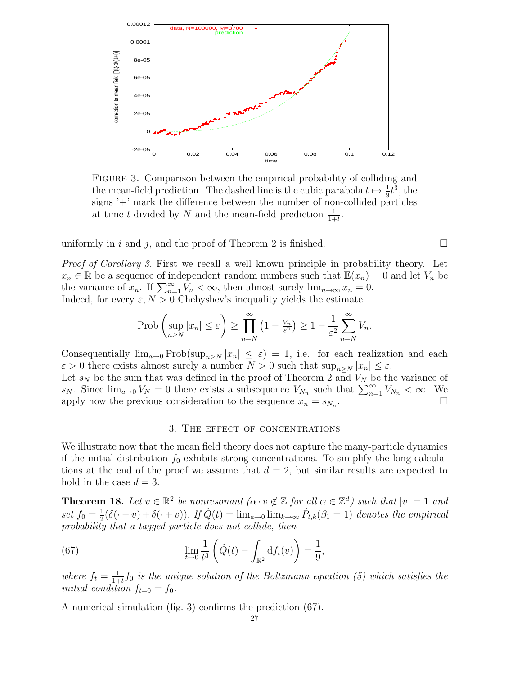

Figure 3. Comparison between the empirical probability of colliding and the mean-field prediction. The dashed line is the cubic parabola  $t \mapsto \frac{1}{9}t^3$ , the signs '+' mark the difference between the number of non-collided particles at time t divided by N and the mean-field prediction  $\frac{1}{1+t}$ .

uniformly in i and j, and the proof of Theorem 2 is finished.  $\square$ 

Proof of Corollary 3. First we recall a well known principle in probability theory. Let  $x_n \in \mathbb{R}$  be a sequence of independent random numbers such that  $\mathbb{E}(x_n) = 0$  and let  $V_n$  be the variance of  $x_n$ . If  $\sum_{n=1}^{\infty} V_n < \infty$ , then almost surely  $\lim_{n\to\infty} x_n = 0$ . Indeed, for every  $\varepsilon$ ,  $N > 0$  Chebyshev's inequality yields the estimate

$$
\operatorname{Prob}\left(\sup_{n\geq N}|x_n|\leq \varepsilon\right)\geq \prod_{n=N}^{\infty}\left(1-\frac{V_n}{\varepsilon^2}\right)\geq 1-\frac{1}{\varepsilon^2}\sum_{n=N}^{\infty}V_n.
$$

Consequentially  $\lim_{a\to 0} \text{Prob}(\sup_{n\geq N} |x_n| \leq \varepsilon) = 1$ , i.e. for each realization and each  $\varepsilon > 0$  there exists almost surely a number  $N > 0$  such that  $\sup_{n \ge N} |x_n| \le \varepsilon$ .

Let  $s_N$  be the sum that was defined in the proof of Theorem 2 and  $V_N$  be the variance of  $s_N$ . Since  $\lim_{a\to 0} V_N = 0$  there exists a subsequence  $V_{N_n}$  such that  $\sum_{n=1}^{\infty} V_{N_n} < \infty$ . We apply now the previous consideration to the sequence  $x_n = s_{N_n}$ .  $\sum_{n=1}^{n}$   $\sum_{n=1}^{n}$ 

#### 3. The effect of concentrations

We illustrate now that the mean field theory does not capture the many-particle dynamics if the initial distribution  $f_0$  exhibits strong concentrations. To simplify the long calculations at the end of the proof we assume that  $d = 2$ , but similar results are expected to hold in the case  $d = 3$ .

**Theorem 18.** Let  $v \in \mathbb{R}^2$  be nonresonant  $(\alpha \cdot v \notin \mathbb{Z}$  for all  $\alpha \in \mathbb{Z}^d$ ) such that  $|v| = 1$  and set  $f_0 = \frac{1}{2}$  $\frac{1}{2}(\delta(\cdot - v) + \delta(\cdot + v))$ . If  $\hat{Q}(t) = \lim_{a\to 0} \lim_{k\to\infty} \hat{P}_{t,k}(\beta_1 = 1)$  denotes the empirical probability that a tagged particle does not collide, then

(67) 
$$
\lim_{t \to 0} \frac{1}{t^3} \left( \hat{Q}(t) - \int_{\mathbb{R}^2} df_t(v) \right) = \frac{1}{9},
$$

where  $f_t = \frac{1}{1+1}$  $\frac{1}{1+t}$  f<sub>0</sub> is the unique solution of the Boltzmann equation (5) which satisfies the initial condition  $f_{t=0} = f_0$ .

A numerical simulation (fig. 3) confirms the prediction (67).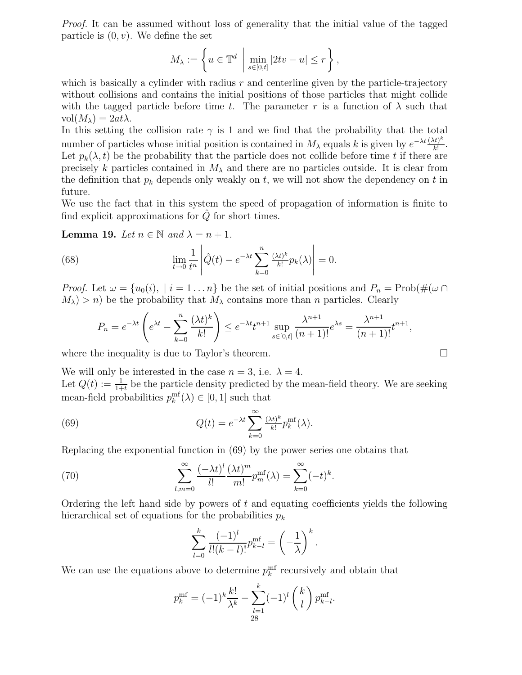Proof. It can be assumed without loss of generality that the initial value of the tagged particle is  $(0, v)$ . We define the set

$$
M_{\lambda} := \left\{ u \in \mathbb{T}^d \mid \min_{s \in [0,t]} |2tv - u| \le r \right\},\
$$

which is basically a cylinder with radius  $r$  and centerline given by the particle-trajectory without collisions and contains the initial positions of those particles that might collide with the tagged particle before time t. The parameter r is a function of  $\lambda$  such that  $vol(M_\lambda) = 2at\lambda$ .

In this setting the collision rate  $\gamma$  is 1 and we find that the probability that the total number of particles whose initial position is contained in  $M_\lambda$  equals k is given by  $e^{-\lambda t} \frac{(\lambda t)^k}{k!}$  $\frac{(t)^n}{k!}$ . Let  $p_k(\lambda, t)$  be the probability that the particle does not collide before time t if there are precisely k particles contained in  $M_{\lambda}$  and there are no particles outside. It is clear from the definition that  $p_k$  depends only weakly on t, we will not show the dependency on t in future.

We use the fact that in this system the speed of propagation of information is finite to find explicit approximations for  $\ddot{Q}$  for short times.

**Lemma 19.** Let  $n \in \mathbb{N}$  and  $\lambda = n + 1$ .

(68) 
$$
\lim_{t \to 0} \frac{1}{t^n} \left| \hat{Q}(t) - e^{-\lambda t} \sum_{k=0}^n \frac{(\lambda t)^k}{k!} p_k(\lambda) \right| = 0.
$$

*Proof.* Let  $\omega = \{u_0(i), | i = 1 ... n\}$  be the set of initial positions and  $P_n = \text{Prob}(\#(\omega \cap \omega))$  $M_{\lambda}$ ) > n) be the probability that  $M_{\lambda}$  contains more than n particles. Clearly

$$
P_n = e^{-\lambda t} \left( e^{\lambda t} - \sum_{k=0}^n \frac{(\lambda t)^k}{k!} \right) \le e^{-\lambda t} t^{n+1} \sup_{s \in [0,t]} \frac{\lambda^{n+1}}{(n+1)!} e^{\lambda s} = \frac{\lambda^{n+1}}{(n+1)!} t^{n+1},
$$

where the inequality is due to Taylor's theorem.

We will only be interested in the case  $n = 3$ , i.e.  $\lambda = 4$ . Let  $Q(t) := \frac{1}{1+t}$  be the particle density predicted by the mean-field theory. We are seeking mean-field probabilities  $p_k^{\text{mf}}(\lambda) \in [0, 1]$  such that

(69) 
$$
Q(t) = e^{-\lambda t} \sum_{k=0}^{\infty} \frac{(\lambda t)^k}{k!} p_k^{\text{mf}}(\lambda).
$$

Replacing the exponential function in (69) by the power series one obtains that

(70) 
$$
\sum_{l,m=0}^{\infty} \frac{(-\lambda t)^l}{l!} \frac{(\lambda t)^m}{m!} p_m^{\text{mf}}(\lambda) = \sum_{k=0}^{\infty} (-t)^k.
$$

Ordering the left hand side by powers of  $t$  and equating coefficients yields the following hierarchical set of equations for the probabilities  $p_k$ 

$$
\sum_{l=0}^{k} \frac{(-1)^l}{l!(k-l)!} p_{k-l}^{\text{mf}} = \left(-\frac{1}{\lambda}\right)^k.
$$

We can use the equations above to determine  $p_k^{\text{mf}}$  recursively and obtain that

$$
p_k^{\text{mf}} = (-1)^k \frac{k!}{\lambda^k} - \sum_{\substack{l=1 \ 28}}^k (-1)^l \binom{k}{l} p_{k-l}^{\text{mf}}.
$$

$$
\qquad \qquad \Box
$$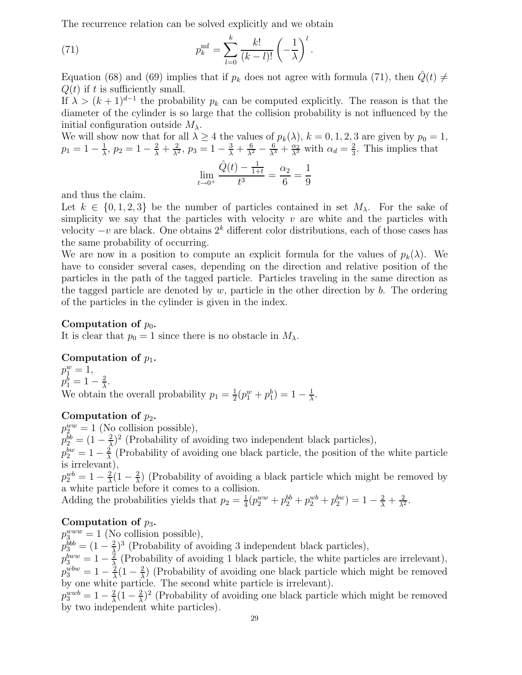The recurrence relation can be solved explicitly and we obtain

(71) 
$$
p_k^{\text{mf}} = \sum_{l=0}^k \frac{k!}{(k-l)!} \left(-\frac{1}{\lambda}\right)^l.
$$

Equation (68) and (69) implies that if  $p_k$  does not agree with formula (71), then  $\hat{Q}(t) \neq$  $Q(t)$  if t is sufficiently small.

If  $\lambda > (k+1)^{d-1}$  the probability  $p_k$  can be computed explicitly. The reason is that the diameter of the cylinder is so large that the collision probability is not influenced by the initial configuration outside  $M_{\lambda}$ .

We will show now that for all  $\lambda \geq 4$  the values of  $p_k(\lambda)$ ,  $k = 0, 1, 2, 3$  are given by  $p_0 = 1$ ,  $p_1 = 1 - \frac{1}{\lambda}$  $\frac{1}{\lambda}$ ,  $p_2 = 1 - \frac{2}{\lambda} + \frac{2}{\lambda^2}$  $\frac{2}{\lambda^2}$ ,  $p_3 = 1 - \frac{3}{\lambda} + \frac{6}{\lambda^2} - \frac{6}{\lambda^3} + \frac{\alpha_2}{\lambda^3}$  with  $\alpha_d = \frac{2}{3}$  $\frac{2}{3}$ . This implies that

$$
\lim_{t \to 0^+} \frac{\hat{Q}(t) - \frac{1}{1+t}}{t^3} = \frac{\alpha_2}{6} = \frac{1}{9}
$$

and thus the claim.

Let  $k \in \{0, 1, 2, 3\}$  be the number of particles contained in set  $M_{\lambda}$ . For the sake of simplicity we say that the particles with velocity  $v$  are white and the particles with velocity  $-v$  are black. One obtains  $2<sup>k</sup>$  different color distributions, each of those cases has the same probability of occurring.

We are now in a position to compute an explicit formula for the values of  $p_k(\lambda)$ . We have to consider several cases, depending on the direction and relative position of the particles in the path of the tagged particle. Particles traveling in the same direction as the tagged particle are denoted by  $w$ , particle in the other direction by  $b$ . The ordering of the particles in the cylinder is given in the index.

#### Computation of  $p_0$ .

It is clear that  $p_0 = 1$  since there is no obstacle in  $M_\lambda$ .

### Computation of  $p_1$ .

 $p_1^w = 1,$  $p_1^b = 1 - \frac{2}{\lambda}$  $\frac{2}{\lambda}$ . We obtain the overall probability  $p_1 = \frac{1}{2}$  $\frac{1}{2}(p_1^w+p_1^b)=1-\frac{1}{\lambda}$  $\frac{1}{\lambda}$ .

### Computation of  $p_2$ .

 $p_2^{ww} = 1$  (No collision possible),  $p_2^{bb} = (1 - \frac{2}{\lambda})$  $\frac{2}{\lambda}$ <sup>2</sup> (Probability of avoiding two independent black particles),  $p_2^{bw}=1-\frac{2}{\lambda}$  $\frac{2}{\lambda}$  (Probability of avoiding one black particle, the position of the white particle is irrelevant),

 $p_2^{wb} = 1 - \frac{2}{\lambda}$  $\frac{2}{\lambda}(1-\frac{2}{\lambda})$  $\frac{2}{\lambda}$ ) (Probability of avoiding a black particle which might be removed by a white particle before it comes to a collision.

Adding the probabilities yields that  $p_2 = \frac{1}{4}$  $\frac{1}{4}(p_2^{ww}+p_2^{bb}+p_2^{wb}+p_2^{bw})=1-\frac{2}{\lambda}+\frac{2}{\lambda^2}$  $\frac{2}{\lambda^2}$ .

### Computation of  $p_3$ .

 $p_{3}^{www} = 1$  (No collision possible),

 $p_{3}^{bbb}=(1-\frac{2}{\lambda}$  $\frac{2}{\lambda}$ <sup>3</sup> (Probability of avoiding 3 independent black particles),

 $p_{3}^{bww}=1-\frac{2}{\lambda}$  $\frac{2}{\lambda}$  (Probability of avoiding 1 black particle, the white particles are irrelevant),  $p_3^{wbw}=1-\frac{2}{\lambda}$  $\frac{2}{\lambda}(1-\frac{2}{\lambda})$  $\frac{2}{\lambda}$ ) (Probability of avoiding one black particle which might be removed by one white particle. The second white particle is irrelevant).

 $p_3^{wwb}=1-\frac{2}{\lambda}$  $\frac{2}{\lambda}(1-\frac{2}{\lambda})$  $\frac{2}{\lambda}$ )<sup>2</sup> (Probability of avoiding one black particle which might be removed by two independent white particles).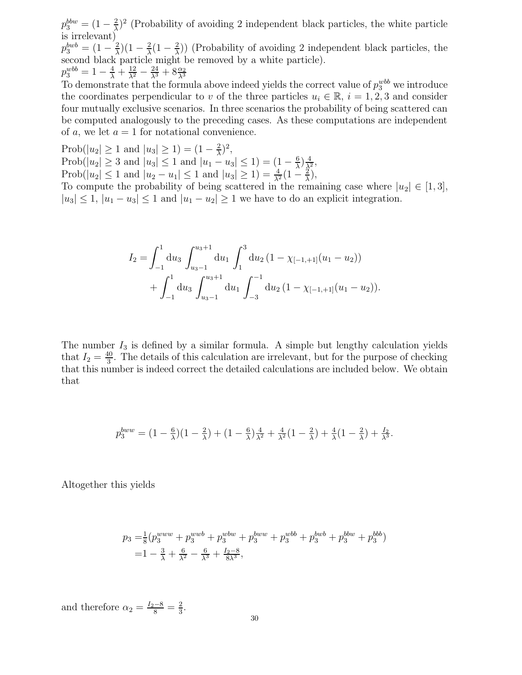$p_{3}^{bbw} = (1 - \frac{2}{\lambda})$  $\frac{2}{\lambda}$ )<sup>2</sup> (Probability of avoiding 2 independent black particles, the white particle is irrelevant)

 $p_3^{bwb} = (1-\frac{2}{\lambda})$  $\frac{2}{\lambda}$ )(1 –  $\frac{2}{\lambda}$  $\frac{2}{\lambda}(1-\frac{2}{\lambda})$  $\frac{2}{\lambda}$ ) (Probability of avoiding 2 independent black particles, the second black particle might be removed by a white particle).  $p_3^{wbb} = 1 - \frac{4}{\lambda} + \frac{12}{\lambda^2} - \frac{24}{\lambda^3} + 8\frac{\alpha_2}{\lambda^3}$  $\lambda^3$ 

To demonstrate that the formula above indeed yields the correct value of  $p_3^{wbb}$  we introduce the coordinates perpendicular to v of the three particles  $u_i \in \mathbb{R}$ ,  $i = 1, 2, 3$  and consider four mutually exclusive scenarios. In three scenarios the probability of being scattered can be computed analogously to the preceding cases. As these computations are independent of a, we let  $a = 1$  for notational convenience.

Prob( $|u_2| \ge 1$  and  $|u_3| \ge 1$ ) =  $(1 - \frac{2}{\lambda})$  $\frac{2}{\lambda}$ )<sup>2</sup>, Prob( $|u_2| \geq 3$  and  $|u_3| \leq 1$  and  $|u_1 - u_3| \leq 1$ ) =  $(1 - \frac{6}{\lambda})$  $\frac{6}{\lambda}$  $\frac{4}{\lambda^2}$ , Prob( $|u_2| \le 1$  and  $|u_2 - u_1| \le 1$  and  $|u_3| \ge 1$ ) =  $\frac{4}{\lambda^2}(1 - \frac{2}{\lambda})$  $\frac{2}{\lambda}$ ), To compute the probability of being scattered in the remaining case where  $|u_2| \in [1,3]$ ,

 $|u_3| \leq 1$ ,  $|u_1 - u_3| \leq 1$  and  $|u_1 - u_2| \geq 1$  we have to do an explicit integration.

$$
I_2 = \int_{-1}^1 du_3 \int_{u_3-1}^{u_3+1} du_1 \int_1^3 du_2 (1 - \chi_{[-1,+1]}(u_1 - u_2))
$$
  
+ 
$$
\int_{-1}^1 du_3 \int_{u_3-1}^{u_3+1} du_1 \int_{-3}^{-1} du_2 (1 - \chi_{[-1,+1]}(u_1 - u_2)).
$$

The number  $I_3$  is defined by a similar formula. A simple but lengthy calculation yields that  $I_2 = \frac{40}{3}$  $\frac{10}{3}$ . The details of this calculation are irrelevant, but for the purpose of checking that this number is indeed correct the detailed calculations are included below. We obtain that

$$
p_3^{bw} = (1 - \frac{6}{\lambda})(1 - \frac{2}{\lambda}) + (1 - \frac{6}{\lambda})\frac{4}{\lambda^2} + \frac{4}{\lambda^2}(1 - \frac{2}{\lambda}) + \frac{4}{\lambda}(1 - \frac{2}{\lambda}) + \frac{I_2}{\lambda^3}.
$$

Altogether this yields

$$
p_3 = \frac{1}{8} (p_3^{www} + p_3^{wwb} + p_3^{wbw} + p_3^{bww} + p_3^{wbb} + p_3^{bwb} + p_3^{bbw} + p_3^{bbb})
$$
  
=  $1 - \frac{3}{\lambda} + \frac{6}{\lambda^2} - \frac{6}{\lambda^3} + \frac{I_2 - 8}{8\lambda^3}$ ,

and therefore  $\alpha_2 = \frac{I_2 - 8}{8} = \frac{2}{3}$  $\frac{2}{3}$ .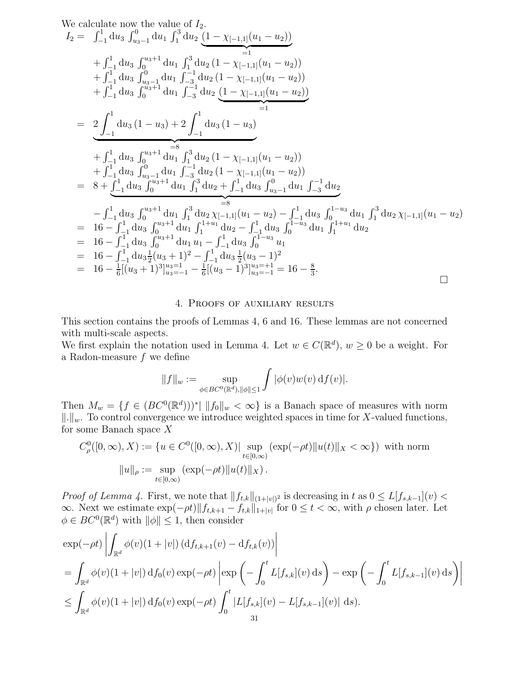We calculate now the value of 
$$
I_2
$$
.  
\n
$$
I_2 = \int_{-1}^{1} du_3 \int_{u_3-1}^{0} du_1 \int_1^3 du_2 \underbrace{(1 - \chi_{[-1,1]}(u_1 - u_2))}_{=1}
$$
\n
$$
+ \int_{-1}^{1} du_3 \int_{u_3-1}^{u_3+1} du_1 \int_{-3}^3 du_2 (1 - \chi_{[-1,1]}(u_1 - u_2))
$$
\n
$$
+ \int_{-1}^{1} du_3 \int_{u_3-1}^{0} du_1 \int_{-3}^{-1} du_2 (1 - \chi_{[-1,1]}(u_1 - u_2))
$$
\n
$$
+ \int_{-1}^{1} du_3 \int_{0}^{u_3+1} du_1 \int_{-3}^{-1} du_2 \underbrace{(1 - \chi_{[-1,1]}(u_1 - u_2))}_{=1}
$$
\n
$$
= \underbrace{2 \int_{-1}^{1} du_3 (1 - u_3) + 2 \int_{-1}^{1} du_3 (1 - u_3)}_{+ \int_{-1}^{1} du_3 \int_{u_3-1}^{0} du_1 \int_{1}^{3} du_2 (1 - \chi_{[-1,1]}(u_1 - u_2))
$$
\n
$$
+ \int_{-1}^{1} du_3 \int_{u_3-1}^{u_3+1} du_1 \int_{-3}^{3} du_2 (1 - \chi_{[-1,1]}(u_1 - u_2))
$$
\n
$$
= 8 + \int_{-1}^{1} du_3 \int_{0}^{u_3+1} du_1 \int_{1}^{3} du_2 + \int_{-1}^{1} du_3 \int_{u_3-1}^{0} du_1 \int_{-3}^{-1} du_2
$$
\n
$$
- \int_{-1}^{1} du_3 \int_{0}^{u_3+1} du_1 \int_1^3 du_2 \chi_{[-1,1]}(u_1 - u_2) - \int_{-1}^{1} du_3 \int_{0}^{1-u_3} du_1 \int_1^3 du_2 \chi_{[-1,1]}(u_1 - u_2)
$$
\n
$$
= 16 - \int_{-1}^{1} du_3 \int_{0}^{u_3+1} du_1 \int_{1}^{1+u_1} du_2
$$

#### 4. Proofs of auxiliary results

This section contains the proofs of Lemmas 4, 6 and 16. These lemmas are not concerned with multi-scale aspects.

We first explain the notation used in Lemma 4. Let  $w \in C(\mathbb{R}^d)$ ,  $w \ge 0$  be a weight. For a Radon-measure  $f$  we define

$$
||f||_w := \sup_{\phi \in BC^0(\mathbb{R}^d), ||\phi|| \le 1} \int |\phi(v)w(v) \, df(v)|.
$$

Then  $M_w = \{f \in (BC^0(\mathbb{R}^d)))^*\mid ||f_0||_w < \infty\}$  is a Banach space of measures with norm  $\|\cdot\|_w$ . To control convergence we introduce weighted spaces in time for X-valued functions, for some Banach space X

$$
C^0_{\rho}([0,\infty),X) := \{ u \in C^0([0,\infty),X) | \sup_{t \in [0,\infty)} (\exp(-\rho t) \| u(t) \|_X < \infty \}) \text{ with norm}
$$

$$
\|u\|_{\rho} := \sup_{t \in [0,\infty)} (\exp(-\rho t) \| u(t) \|_X).
$$

*Proof of Lemma 4.* First, we note that  $||f_{t,k}||_{(1+|v|)^2}$  is decreasing in t as  $0 \leq L[f_{s,k-1}](v)$  $\infty$ . Next we estimate  $\exp(-\rho t) || f_{t,k+1} - f_{t,k} ||_{1+|v|}$  for  $0 \le t < \infty$ , with  $\rho$  chosen later. Let  $\phi \in BC^0(\mathbb{R}^d)$  with  $\|\phi\| \leq 1$ , then consider

$$
\exp(-\rho t) \left| \int_{\mathbb{R}^d} \phi(v)(1+|v|) \left( \mathrm{d}f_{t,k+1}(v) - \mathrm{d}f_{t,k}(v) \right) \right|
$$
  
\n
$$
= \int_{\mathbb{R}^d} \phi(v)(1+|v|) \, \mathrm{d}f_0(v) \exp(-\rho t) \left| \exp\left(-\int_0^t L[f_{s,k}](v) \, \mathrm{d}s\right) - \exp\left(-\int_0^t L[f_{s,k-1}](v) \, \mathrm{d}s\right) \right|
$$
  
\n
$$
\leq \int_{\mathbb{R}^d} \phi(v)(1+|v|) \, \mathrm{d}f_0(v) \exp(-\rho t) \int_0^t |L[f_{s,k}](v) - L[f_{s,k-1}](v)| \, \mathrm{d}s).
$$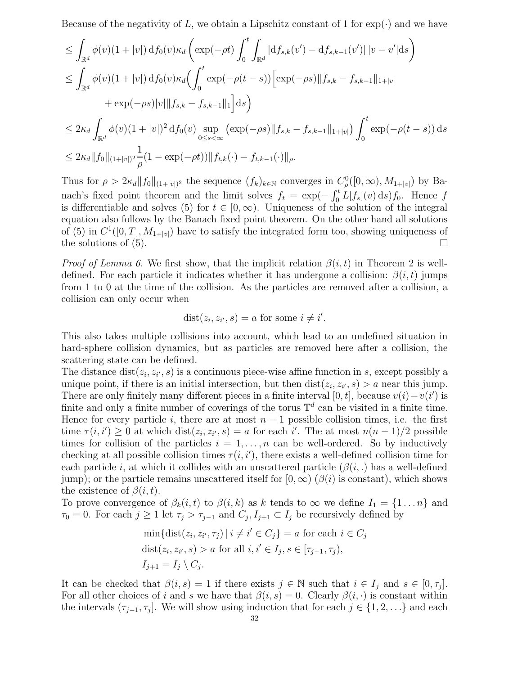Because of the negativity of L, we obtain a Lipschitz constant of 1 for  $\exp(\cdot)$  and we have

$$
\leq \int_{\mathbb{R}^d} \phi(v)(1+|v|) df_0(v)\kappa_d \left( \exp(-\rho t) \int_0^t \int_{\mathbb{R}^d} |df_{s,k}(v') - df_{s,k-1}(v')| |v - v'| ds \right)
$$
  
\n
$$
\leq \int_{\mathbb{R}^d} \phi(v)(1+|v|) df_0(v)\kappa_d \left( \int_0^t \exp(-\rho(t-s)) \left[ \exp(-\rho s) ||f_{s,k} - f_{s,k-1}||_{1+|v|} + \exp(-\rho s) |v| ||f_{s,k} - f_{s,k-1}||_1 \right] ds \right)
$$
  
\n
$$
\leq 2\kappa_d \int_{\mathbb{R}^d} \phi(v)(1+|v|)^2 df_0(v) \sup_{0 \leq s < \infty} \left( \exp(-\rho s) ||f_{s,k} - f_{s,k-1}||_{1+|v|} \right) \int_0^t \exp(-\rho(t-s)) ds
$$
  
\n
$$
\leq 2\kappa_d ||f_0||_{(1+|v|)^2} \frac{1}{\rho} (1 - \exp(-\rho t)) ||f_{t,k}(\cdot) - f_{t,k-1}(\cdot)||_{\rho}.
$$

Thus for  $\rho > 2\kappa_d ||f_0||_{(1+|v|)^2}$  the sequence  $(f_k)_{k\in\mathbb{N}}$  converges in  $C^0_\rho([0,\infty), M_{1+|v|})$  by Banach's fixed point theorem and the limit solves  $f_t = \exp(-\int_0^t L[f_s](v) ds) f_0$ . Hence f is differentiable and solves (5) for  $t \in [0,\infty)$ . Uniqueness of the solution of the integral equation also follows by the Banach fixed point theorem. On the other hand all solutions of (5) in  $C^1([0,T], M_{1+|v|})$  have to satisfy the integrated form too, showing uniqueness of the solutions of  $(5)$ .

*Proof of Lemma 6.* We first show, that the implicit relation  $\beta(i, t)$  in Theorem 2 is welldefined. For each particle it indicates whether it has undergone a collision:  $\beta(i, t)$  jumps from 1 to 0 at the time of the collision. As the particles are removed after a collision, a collision can only occur when

$$
dist(z_i, z_{i'}, s) = a \text{ for some } i \neq i'.
$$

This also takes multiple collisions into account, which lead to an undefined situation in hard-sphere collision dynamics, but as particles are removed here after a collision, the scattering state can be defined.

The distance  $dist(z_i, z_{i'}, s)$  is a continuous piece-wise affine function in s, except possibly a unique point, if there is an initial intersection, but then  $dist(z_i, z_{i'}, s) > a$  near this jump. There are only finitely many different pieces in a finite interval [0, t], because  $v(i) - v(i')$  is finite and only a finite number of coverings of the torus  $\mathbb{T}^d$  can be visited in a finite time. Hence for every particle i, there are at most  $n-1$  possible collision times, i.e. the first time  $\tau(i, i') \geq 0$  at which  $dist(z_i, z_{i'}, s) = a$  for each i'. The at most  $n(n - 1)/2$  possible times for collision of the particles  $i = 1, \ldots, n$  can be well-ordered. So by inductively checking at all possible collision times  $\tau(i, i')$ , there exists a well-defined collision time for each particle i, at which it collides with an unscattered particle  $(\beta(i, .))$  has a well-defined jump); or the particle remains unscattered itself for  $[0, \infty)$  ( $\beta(i)$  is constant), which shows the existence of  $\beta(i, t)$ .

To prove convergence of  $\beta_k(i,t)$  to  $\beta(i,k)$  as k tends to  $\infty$  we define  $I_1 = \{1 \dots n\}$  and  $\tau_0 = 0$ . For each  $j \geq 1$  let  $\tau_j > \tau_{j-1}$  and  $C_j, I_{j+1} \subset I_j$  be recursively defined by

$$
\min\{\text{dist}(z_i, z_{i'}, \tau_j) \mid i \neq i' \in C_j\} = a \text{ for each } i \in C_j
$$
  

$$
\text{dist}(z_i, z_{i'}, s) > a \text{ for all } i, i' \in I_j, s \in [\tau_{j-1}, \tau_j),
$$
  

$$
I_{j+1} = I_j \setminus C_j.
$$

It can be checked that  $\beta(i, s) = 1$  if there exists  $j \in \mathbb{N}$  such that  $i \in I_j$  and  $s \in [0, \tau_j]$ . For all other choices of i and s we have that  $\beta(i, s) = 0$ . Clearly  $\beta(i, \cdot)$  is constant within the intervals  $(\tau_{j-1}, \tau_j]$ . We will show using induction that for each  $j \in \{1, 2, \ldots\}$  and each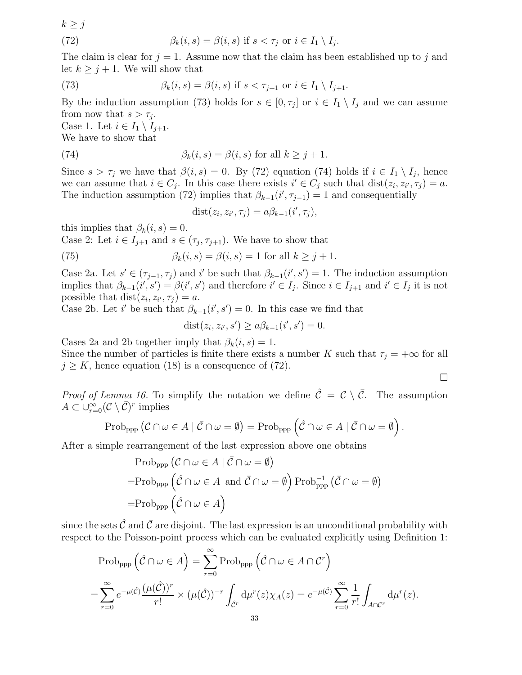$k \geq j$ 

(72) 
$$
\beta_k(i,s) = \beta(i,s) \text{ if } s < \tau_j \text{ or } i \in I_1 \setminus I_j.
$$

The claim is clear for  $j = 1$ . Assume now that the claim has been established up to j and let  $k \geq j + 1$ . We will show that

(73) 
$$
\beta_k(i,s) = \beta(i,s) \text{ if } s < \tau_{j+1} \text{ or } i \in I_1 \setminus I_{j+1}.
$$

By the induction assumption (73) holds for  $s \in [0, \tau_j]$  or  $i \in I_1 \setminus I_j$  and we can assume from now that  $s > \tau_j$ .

Case 1. Let  $i \in I_1 \setminus I_{i+1}$ . We have to show that

(74) 
$$
\beta_k(i,s) = \beta(i,s) \text{ for all } k \geq j+1.
$$

Since  $s > \tau_j$  we have that  $\beta(i, s) = 0$ . By (72) equation (74) holds if  $i \in I_1 \setminus I_j$ , hence we can assume that  $i \in C_j$ . In this case there exists  $i' \in C_j$  such that  $dist(z_i, z_{i'}, \tau_j) = a$ . The induction assumption (72) implies that  $\beta_{k-1}(i', \tau_{j-1}) = 1$  and consequentially

$$
dist(z_i, z_{i'}, \tau_j) = a\beta_{k-1}(i', \tau_j),
$$

this implies that  $\beta_k(i,s) = 0$ .

Case 2: Let  $i \in I_{j+1}$  and  $s \in (\tau_j, \tau_{j+1})$ . We have to show that

(75) 
$$
\beta_k(i,s) = \beta(i,s) = 1 \text{ for all } k \geq j+1.
$$

Case 2a. Let  $s' \in (\tau_{j-1}, \tau_j)$  and i' be such that  $\beta_{k-1}(i', s') = 1$ . The induction assumption implies that  $\beta_{k-1}(i', s') = \beta(i', s')$  and therefore  $i' \in I_j$ . Since  $i \in I_{j+1}$  and  $i' \in I_j$  it is not possible that  $dist(z_i, z_{i'}, \tau_j) = a$ .

Case 2b. Let i' be such that  $\beta_{k-1}(i', s') = 0$ . In this case we find that

$$
dist(z_i, z_{i'}, s') \ge a\beta_{k-1}(i', s') = 0.
$$

Cases 2a and 2b together imply that  $\beta_k(i,s) = 1$ .

Since the number of particles is finite there exists a number K such that  $\tau_i = +\infty$  for all  $j \geq K$ , hence equation (18) is a consequence of (72).

 $\Box$ 

*Proof of Lemma 16.* To simplify the notation we define  $\hat{\mathcal{C}} = \mathcal{C} \setminus \bar{\mathcal{C}}$ . The assumption  $A \subset \cup_{r=0}^{\infty} (C \setminus \overline{C})^r$  implies

$$
\mathrm{Prob}_{\mathrm{ppp}}\left(\mathcal{C}\cap\omega\in A\mid\bar{\mathcal{C}}\cap\omega=\emptyset\right)=\mathrm{Prob}_{\mathrm{ppp}}\left(\hat{\mathcal{C}}\cap\omega\in A\mid\bar{\mathcal{C}}\cap\omega=\emptyset\right).
$$

After a simple rearrangement of the last expression above one obtains

$$
\begin{aligned} &\text{Prob}_{\text{app}}\left(\mathcal{C}\cap\omega\in A\mid\bar{\mathcal{C}}\cap\omega=\emptyset\right) \\ =&\text{Prob}_{\text{app}}\left(\hat{\mathcal{C}}\cap\omega\in A\text{ and }\bar{\mathcal{C}}\cap\omega=\emptyset\right)\text{Prob}_{\text{app}}^{-1}\left(\bar{\mathcal{C}}\cap\omega=\emptyset\right) \\ =&\text{Prob}_{\text{app}}\left(\hat{\mathcal{C}}\cap\omega\in A\right) \end{aligned}
$$

since the sets  $\hat{\mathcal{C}}$  and  $\bar{\mathcal{C}}$  are disjoint. The last expression is an unconditional probability with respect to the Poisson-point process which can be evaluated explicitly using Definition 1:

$$
\text{Prob}_{\text{ppp}}\left(\hat{\mathcal{C}} \cap \omega \in A\right) = \sum_{r=0}^{\infty} \text{Prob}_{\text{ppp}}\left(\hat{\mathcal{C}} \cap \omega \in A \cap C^r\right)
$$

$$
= \sum_{r=0}^{\infty} e^{-\mu(\hat{\mathcal{C}})} \frac{(\mu(\hat{\mathcal{C}}))^r}{r!} \times (\mu(\hat{\mathcal{C}}))^{-r} \int_{\hat{C}^r} d\mu^r(z) \chi_A(z) = e^{-\mu(\hat{\mathcal{C}})} \sum_{r=0}^{\infty} \frac{1}{r!} \int_{A \cap C^r} d\mu^r(z).
$$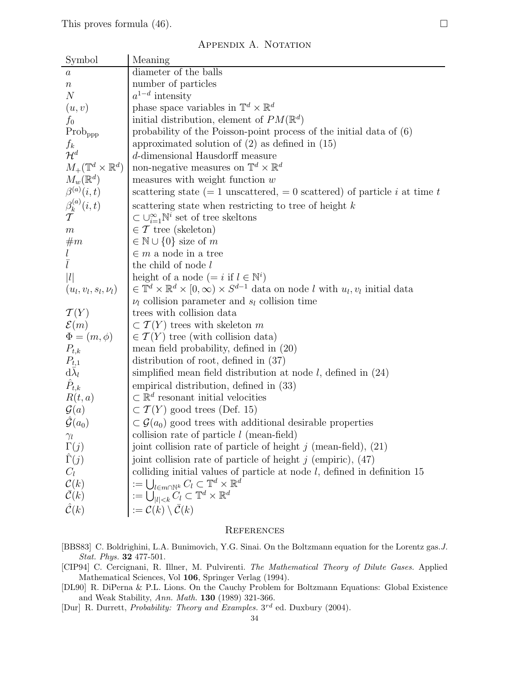## APPENDIX A. NOTATION

| Symbol                                                               | Meaning                                                                                                                                                                                 |
|----------------------------------------------------------------------|-----------------------------------------------------------------------------------------------------------------------------------------------------------------------------------------|
| $\it a$                                                              | diameter of the balls                                                                                                                                                                   |
| $\, n$                                                               | number of particles                                                                                                                                                                     |
| $\boldsymbol{N}$                                                     | $a^{1-d}$ intensity                                                                                                                                                                     |
| (u, v)                                                               | phase space variables in $\mathbb{T}^d \times \mathbb{R}^d$                                                                                                                             |
| $f_0$                                                                | initial distribution, element of $PM(\mathbb{R}^d)$                                                                                                                                     |
| $\mathrm{Prob}_{\mathrm{ppp}}$                                       | probability of the Poisson-point process of the initial data of $(6)$                                                                                                                   |
|                                                                      | approximated solution of $(2)$ as defined in $(15)$                                                                                                                                     |
| $\frac{f_k}{\mathcal{H}^d}$                                          | d-dimensional Hausdorff measure                                                                                                                                                         |
| $M_+(\mathbb{T}^d\times\mathbb{R}^d)$                                | non-negative measures on $\mathbb{T}^d \times \mathbb{R}^d$                                                                                                                             |
| $M_w(\mathbb{R}^d)$                                                  | measures with weight function $w$                                                                                                                                                       |
| $\beta^{(a)}(i,t)$                                                   | scattering state (= 1 unscattered, = 0 scattered) of particle i at time t                                                                                                               |
| $\frac{\beta^{(a)}_k(i,t)}{T}$                                       | scattering state when restricting to tree of height $k$                                                                                                                                 |
|                                                                      | $\subset \bigcup_{i=1}^{\infty} \mathbb{N}^i$ set of tree skeltons                                                                                                                      |
| $\boldsymbol{m}$                                                     | $\in \mathcal{T}$ tree (skeleton)                                                                                                                                                       |
| $\#m$                                                                | $\in \mathbb{N} \cup \{0\}$ size of m                                                                                                                                                   |
|                                                                      | $\in$ <i>m</i> a node in a tree                                                                                                                                                         |
|                                                                      | the child of node l                                                                                                                                                                     |
| l                                                                    | height of a node (= i if $l \in \mathbb{N}^i$ )                                                                                                                                         |
| $(u_l, v_l, s_l, \nu_l)$                                             | $\in \mathbb{T}^d \times \mathbb{R}^d \times [0,\infty) \times S^{d-1}$ data on node l with $u_l, v_l$ initial data                                                                     |
|                                                                      | $\nu_l$ collision parameter and $s_l$ collision time                                                                                                                                    |
| $\mathcal{T}(Y)$                                                     | trees with collision data                                                                                                                                                               |
| $\mathcal{E}(m)$                                                     | $\subset T(Y)$ trees with skeleton m                                                                                                                                                    |
| $\Phi = (m, \phi)$                                                   | $\in T(Y)$ tree (with collision data)                                                                                                                                                   |
| $P_{t,k}$                                                            | mean field probability, defined in (20)                                                                                                                                                 |
| $\begin{array}{c} P_{t,1} \\ \mathrm{d} \bar{\lambda}_l \end{array}$ | distribution of root, defined in $(37)$                                                                                                                                                 |
|                                                                      | simplified mean field distribution at node $l$ , defined in $(24)$                                                                                                                      |
| $\hat{P}_{t,k}$                                                      | empirical distribution, defined in (33)                                                                                                                                                 |
| R(t,a)                                                               | $\subset \mathbb{R}^d$ resonant initial velocities                                                                                                                                      |
| $\mathcal{G}(a)$                                                     | $\subset T(Y)$ good trees (Def. 15)                                                                                                                                                     |
| $\hat{\mathcal{G}}(a_0)$                                             | $\subset \mathcal{G}(a_0)$ good trees with additional desirable properties                                                                                                              |
| $\gamma_l$                                                           | collision rate of particle $l$ (mean-field)                                                                                                                                             |
| $\Gamma(j)$                                                          | joint collision rate of particle of height $j$ (mean-field), $(21)$                                                                                                                     |
| $\hat{\Gamma}(j)$                                                    | joint collision rate of particle of height $j$ (empiric), (47)                                                                                                                          |
| $C_l$                                                                | colliding initial values of particle at node $l$ , defined in definition 15                                                                                                             |
| $\mathcal{C}(k)$                                                     |                                                                                                                                                                                         |
| $\bar{\mathcal{C}}(k)$                                               | $\begin{array}{l} := \bigcup_{l \in m \cap \mathbb{N}^k} C_l \subset \mathbb{T}^d \times \mathbb{R}^d \\ := \bigcup_{ l  < k} C_l \subset \mathbb{T}^d \times \mathbb{R}^d \end{array}$ |
| $\hat{\mathcal{C}}(k)$                                               | $:=\mathcal{C}(k)\setminus\bar{\mathcal{C}}(k)$                                                                                                                                         |
|                                                                      |                                                                                                                                                                                         |

#### **REFERENCES**

- [BBS83] C. Boldrighini, L.A. Bunimovich, Y.G. Sinai. On the Boltzmann equation for the Lorentz gas.J. Stat. Phys. 32 477-501.
- [CIP94] C. Cercignani, R. Illner, M. Pulvirenti. The Mathematical Theory of Dilute Gases. Applied Mathematical Sciences, Vol 106, Springer Verlag (1994).
- [DL90] R. DiPerna & P.L. Lions. On the Cauchy Problem for Boltzmann Equations: Global Existence and Weak Stability, Ann. Math. 130 (1989) 321-366.
- [Dur] R. Durrett, Probability: Theory and Examples.  $3^{rd}$  ed. Duxbury (2004).